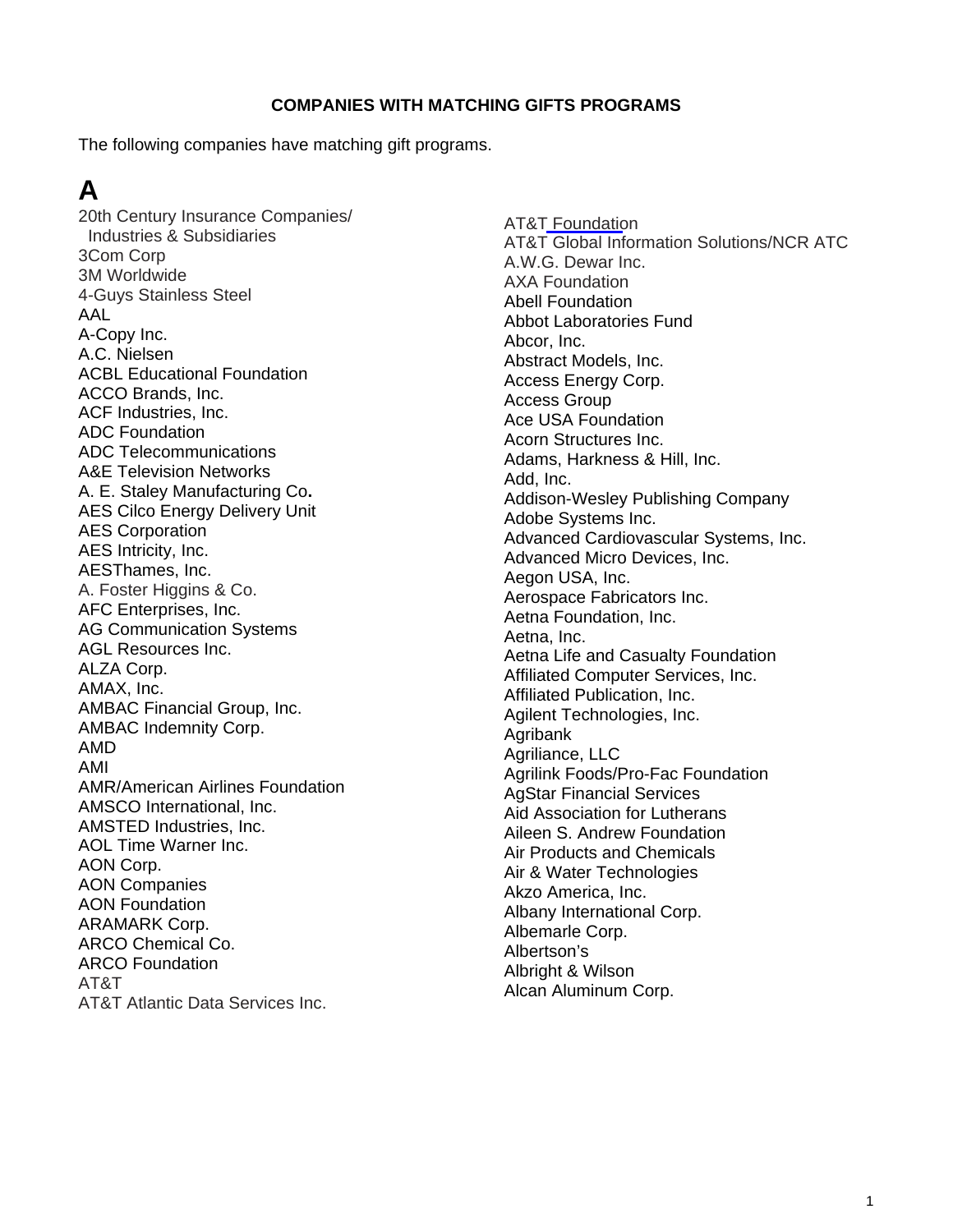#### **COMPANIES WITH MATCHING GIFTS PROGRAMS**

The following companies have matching gift programs.

# **A**

20th Century Insurance Companies/ Industries & Subsidiaries 3Com Corp 3M Worldwide 4-Guys Stainless Steel AAL A-Copy Inc. A.C. Nielsen ACBL Educational Foundation ACCO Brands, Inc. ACF Industries, Inc. ADC Foundation ADC Telecommunications A&E Television Networks A. E. Staley Manufacturing Co**.**  AES Cilco Energy Delivery Unit AES Corporation AES Intricity, Inc. AESThames, Inc. A. Foster Higgins & Co. AFC Enterprises, Inc. AG Communication Systems AGL Resources Inc. ALZA Corp. AMAX, Inc. AMBAC Financial Group, Inc. AMBAC Indemnity Corp. AMD AMI AMR/American Airlines Foundation AMSCO International, Inc. AMSTED Industries, Inc. AOL Time Warner Inc. AON Corp. AON Companies AON Foundation ARAMARK Corp. ARCO Chemical Co. ARCO Foundation AT&T AT&T Atlantic Data Services Inc.

AT&T Foundation AT&T Global Information Solutions/NCR ATC A.W.G. Dewar Inc. AXA Foundation Abell Foundation Abbot Laboratories Fund Abcor, Inc. Abstract Models, Inc. Access Energy Corp. Access Group Ace USA Foundation Acorn Structures Inc. Adams, Harkness & Hill, Inc. Add, Inc. Addison-Wesley Publishing Company Adobe Systems Inc. Advanced Cardiovascular Systems, Inc. Advanced Micro Devices, Inc. Aegon USA, Inc. Aerospace Fabricators Inc. Aetna Foundation, Inc. Aetna, Inc. Aetna Life and Casualty Foundation Affiliated Computer Services, Inc. Affiliated Publication, Inc. Agilent Technologies, Inc. Agribank Agriliance, LLC Agrilink Foods/Pro-Fac Foundation AgStar Financial Services Aid Association for Lutherans Aileen S. Andrew Foundation Air Products and Chemicals Air & Water Technologies Akzo America, Inc. Albany International Corp. Albemarle Corp. Albertson's Albright & Wilson Alcan Aluminum Corp.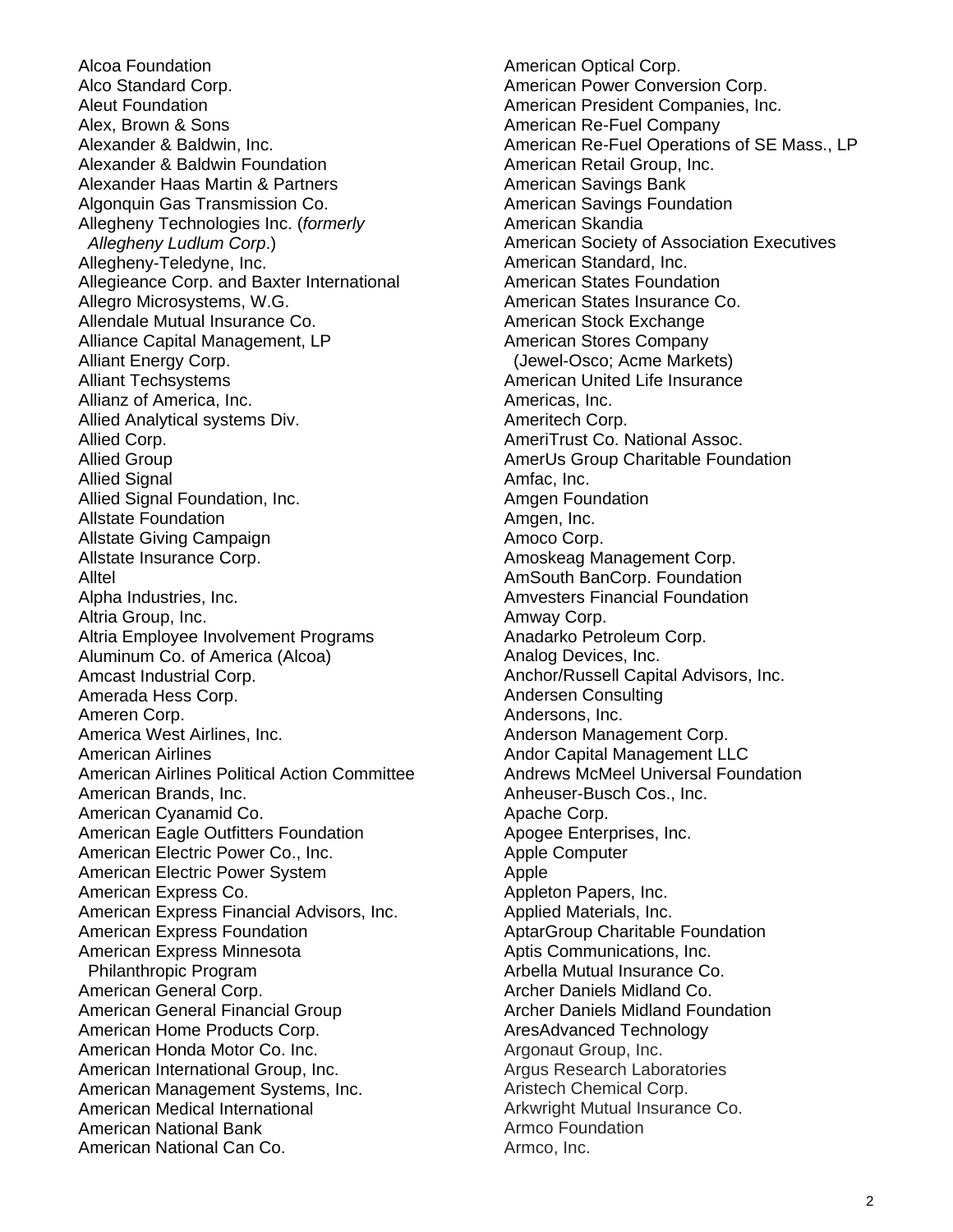Alcoa Foundation Alco Standard Corp. Aleut Foundation Alex, Brown & Sons Alexander & Baldwin, Inc. Alexander & Baldwin Foundation Alexander Haas Martin & Partners Algonquin Gas Transmission Co. Allegheny Technologies Inc. (*formerly Allegheny Ludlum Corp*.) Allegheny-Teledyne, Inc. Allegieance Corp. and Baxter International Allegro Microsystems, W.G. Allendale Mutual Insurance Co. Alliance Capital Management, LP Alliant Energy Corp. Alliant Techsystems Allianz of America, Inc. Allied Analytical systems Div. Allied Corp. Allied Group Allied Signal Allied Signal Foundation, Inc. Allstate Foundation Allstate Giving Campaign Allstate Insurance Corp. Alltel Alpha Industries, Inc. Altria Group, Inc. Altria Employee Involvement Programs Aluminum Co. of America (Alcoa) Amcast Industrial Corp. Amerada Hess Corp. Ameren Corp. America West Airlines, Inc. American Airlines American Airlines Political Action Committee American Brands, Inc. American Cyanamid Co. American Eagle Outfitters Foundation American Electric Power Co., Inc. American Electric Power System American Express Co. American Express Financial Advisors, Inc. American Express Foundation American Express Minnesota Philanthropic Program American General Corp. American General Financial Group American Home Products Corp. American Honda Motor Co. Inc. American International Group, Inc. American Management Systems, Inc. American Medical International American National Bank American National Can Co.

American Optical Corp. American Power Conversion Corp. American President Companies, Inc. American Re-Fuel Company American Re-Fuel Operations of SE Mass., LP American Retail Group, Inc. American Savings Bank American Savings Foundation American Skandia American Society of Association Executives American Standard, Inc. American States Foundation American States Insurance Co. American Stock Exchange American Stores Company (Jewel-Osco; Acme Markets) American United Life Insurance Americas, Inc. Ameritech Corp. AmeriTrust Co. National Assoc. AmerUs Group Charitable Foundation Amfac, Inc. Amgen Foundation Amgen, Inc. Amoco Corp. Amoskeag Management Corp. AmSouth BanCorp. Foundation Amvesters Financial Foundation Amway Corp. Anadarko Petroleum Corp. Analog Devices, Inc. Anchor/Russell Capital Advisors, Inc. Andersen Consulting Andersons, Inc. Anderson Management Corp. Andor Capital Management LLC Andrews McMeel Universal Foundation Anheuser-Busch Cos., Inc. Apache Corp. Apogee Enterprises, Inc. Apple Computer Apple Appleton Papers, Inc. Applied Materials, Inc. AptarGroup Charitable Foundation Aptis Communications, Inc. Arbella Mutual Insurance Co. Archer Daniels Midland Co. Archer Daniels Midland Foundation AresAdvanced Technology Argonaut Group, Inc. Argus Research Laboratories Aristech Chemical Corp. Arkwright Mutual Insurance Co. Armco Foundation Armco, Inc.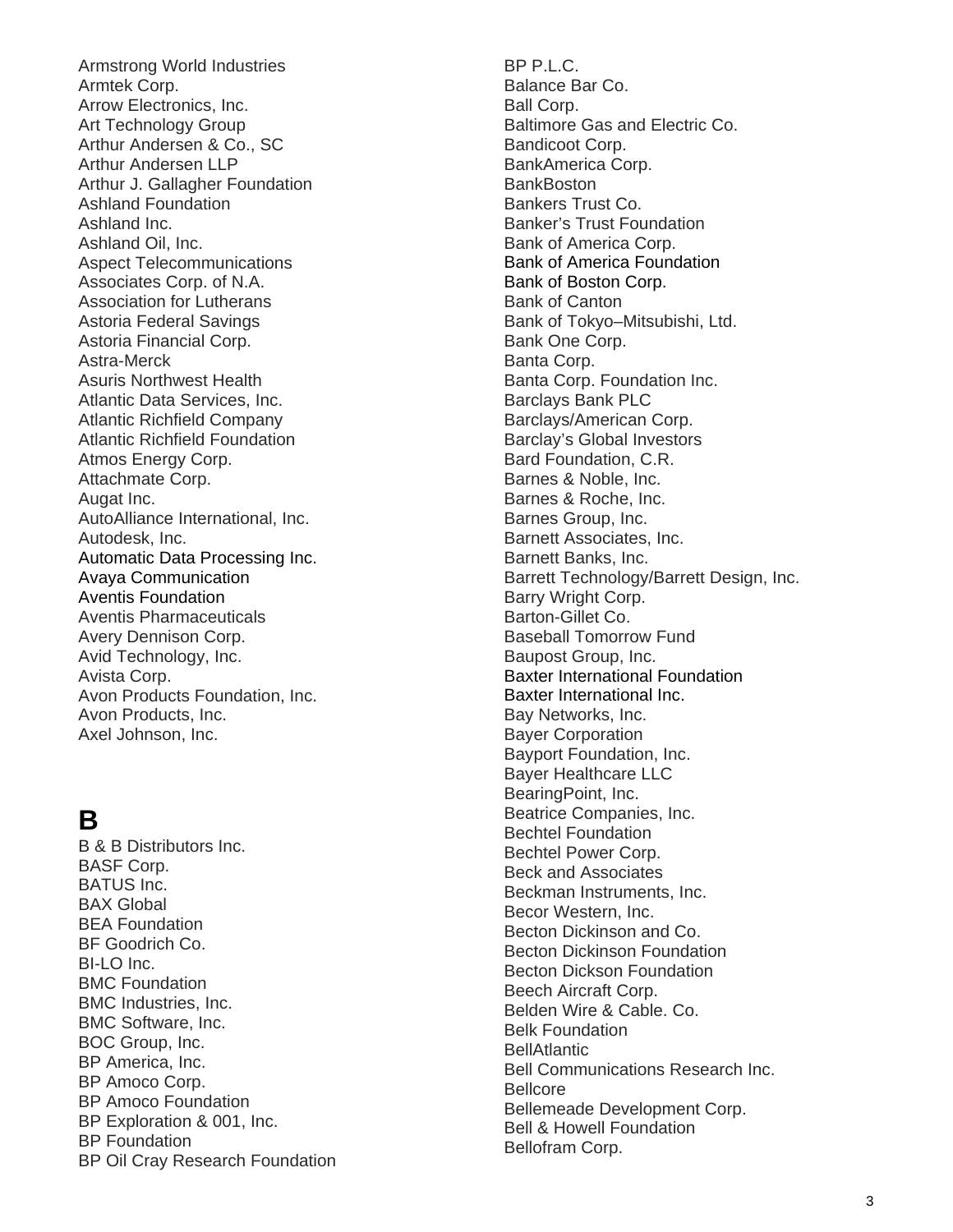Armstrong World Industries Armtek Corp. Arrow Electronics, Inc. Art Technology Group Arthur Andersen & Co., SC Arthur Andersen LLP Arthur J. Gallagher Foundation Ashland Foundation Ashland Inc. Ashland Oil, Inc. Aspect Telecommunications Associates Corp. of N.A. Association for Lutherans Astoria Federal Savings Astoria Financial Corp. Astra-Merck Asuris Northwest Health Atlantic Data Services, Inc. Atlantic Richfield Company Atlantic Richfield Foundation Atmos Energy Corp. Attachmate Corp. Augat Inc. AutoAlliance International, Inc. Autodesk, Inc. Automatic Data Processing Inc. Avaya Communication Aventis Foundation Aventis Pharmaceuticals Avery Dennison Corp. Avid Technology, Inc. Avista Corp. Avon Products Foundation, Inc. Avon Products, Inc. Axel Johnson, Inc.

## **B**

B & B Distributors Inc. BASF Corp. BATUS Inc. BAX Global BEA Foundation BF Goodrich Co.  $B-I$  O Inc. BMC Foundation BMC Industries, Inc. BMC Software, Inc. BOC Group, Inc. BP America, Inc. BP Amoco Corp. BP Amoco Foundation BP Exploration & 001, Inc. BP Foundation BP Oil Cray Research Foundation BP P.L.C. Balance Bar Co. Ball Corp. Baltimore Gas and Electric Co. Bandicoot Corp. BankAmerica Corp. BankBoston Bankers Trust Co. Banker's Trust Foundation Bank of America Corp. Bank of America Foundation Bank of Boston Corp. Bank of Canton Bank of Tokyo–Mitsubishi, Ltd. Bank One Corp. Banta Corp. Banta Corp. Foundation Inc. Barclays Bank PLC Barclays/American Corp. Barclay's Global Investors Bard Foundation, C.R. Barnes & Noble, Inc. Barnes & Roche, Inc. Barnes Group, Inc. Barnett Associates, Inc. Barnett Banks, Inc. Barrett Technology/Barrett Design, Inc. Barry Wright Corp. Barton-Gillet Co. Baseball Tomorrow Fund Baupost Group, Inc. Baxter International Foundation Baxter International Inc. Bay Networks, Inc. Bayer Corporation Bayport Foundation, Inc. Bayer Healthcare LLC BearingPoint, Inc. Beatrice Companies, Inc. Bechtel Foundation Bechtel Power Corp. Beck and Associates Beckman Instruments, Inc. Becor Western, Inc. Becton Dickinson and Co. Becton Dickinson Foundation Becton Dickson Foundation Beech Aircraft Corp. Belden Wire & Cable. Co. Belk Foundation **BellAtlantic** Bell Communications Research Inc. Bellcore Bellemeade Development Corp. Bell & Howell Foundation Bellofram Corp.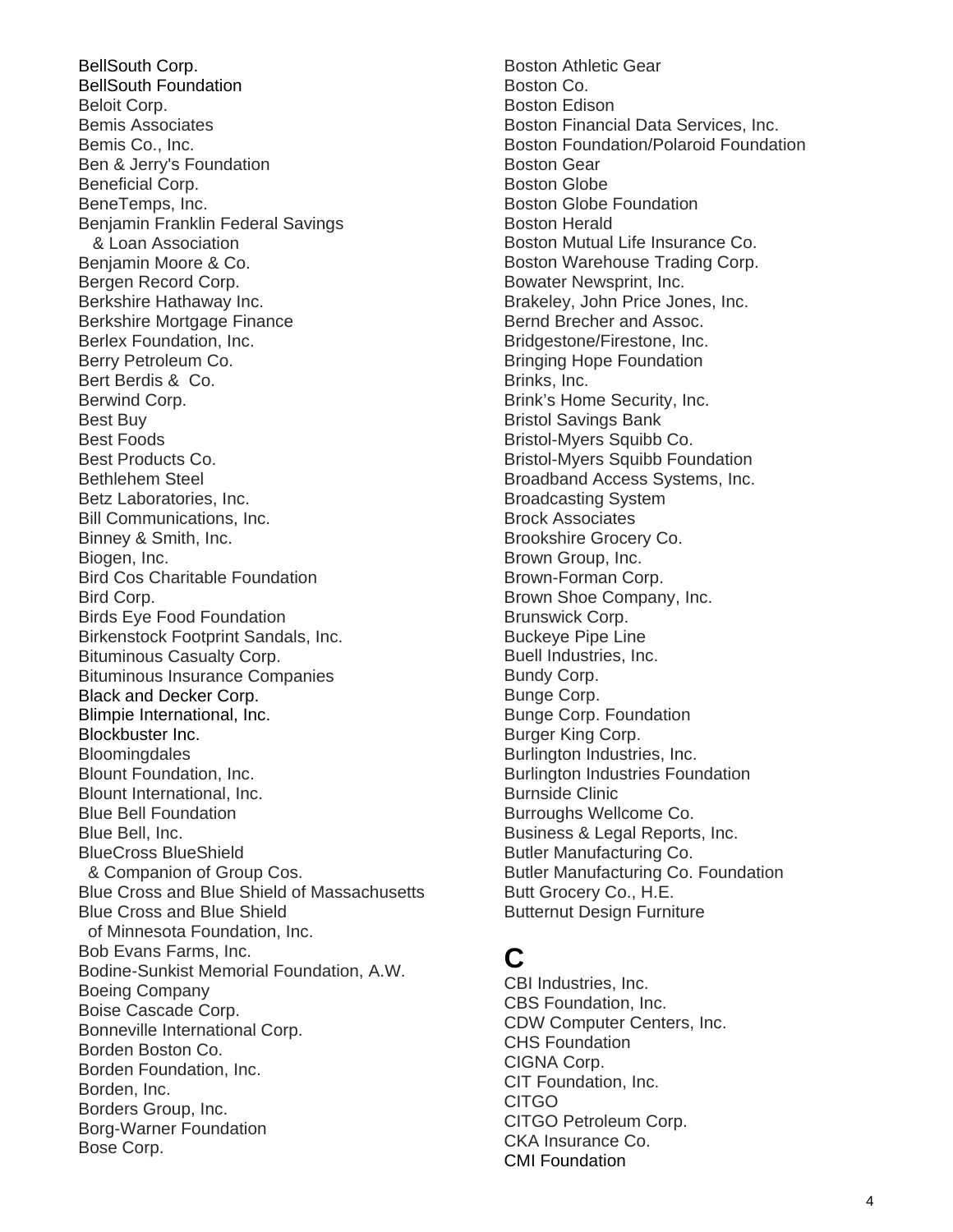BellSouth Corp. BellSouth Foundation Beloit Corp. Bemis Associates Bemis Co., Inc. Ben & Jerry's Foundation Beneficial Corp. BeneTemps, Inc. Benjamin Franklin Federal Savings & Loan Association Benjamin Moore & Co. Bergen Record Corp. Berkshire Hathaway Inc. Berkshire Mortgage Finance Berlex Foundation, Inc. Berry Petroleum Co. Bert Berdis & Co. Berwind Corp. Best Buy Best Foods Best Products Co. Bethlehem Steel Betz Laboratories, Inc. Bill Communications, Inc. Binney & Smith, Inc. Biogen, Inc. Bird Cos Charitable Foundation Bird Corp. Birds Eye Food Foundation Birkenstock Footprint Sandals, Inc. Bituminous Casualty Corp. Bituminous Insurance Companies Black and Decker Corp. Blimpie International, Inc. Blockbuster Inc. **Bloomingdales** Blount Foundation, Inc. Blount International, Inc. Blue Bell Foundation Blue Bell, Inc. BlueCross BlueShield & Companion of Group Cos. Blue Cross and Blue Shield of Massachusetts Blue Cross and Blue Shield of Minnesota Foundation, Inc. Bob Evans Farms, Inc. Bodine-Sunkist Memorial Foundation, A.W. Boeing Company Boise Cascade Corp. Bonneville International Corp. Borden Boston Co. Borden Foundation, Inc. Borden, Inc. Borders Group, Inc. Borg-Warner Foundation Bose Corp.

Boston Athletic Gear Boston Co. Boston Edison Boston Financial Data Services, Inc. Boston Foundation/Polaroid Foundation Boston Gear Boston Globe Boston Globe Foundation Boston Herald Boston Mutual Life Insurance Co. Boston Warehouse Trading Corp. Bowater Newsprint, Inc. Brakeley, John Price Jones, Inc. Bernd Brecher and Assoc. Bridgestone/Firestone, Inc. Bringing Hope Foundation Brinks, Inc. Brink's Home Security, Inc. Bristol Savings Bank Bristol-Myers Squibb Co. Bristol-Myers Squibb Foundation Broadband Access Systems, Inc. Broadcasting System Brock Associates Brookshire Grocery Co. Brown Group, Inc. Brown-Forman Corp. Brown Shoe Company, Inc. Brunswick Corp. Buckeye Pipe Line Buell Industries, Inc. Bundy Corp. Bunge Corp. Bunge Corp. Foundation Burger King Corp. Burlington Industries, Inc. Burlington Industries Foundation Burnside Clinic Burroughs Wellcome Co. Business & Legal Reports, Inc. Butler Manufacturing Co. Butler Manufacturing Co. Foundation Butt Grocery Co., H.E. Butternut Design Furniture

# **C**

CBI Industries, Inc. CBS Foundation, Inc. CDW Computer Centers, Inc. CHS Foundation CIGNA Corp. CIT Foundation, Inc. CITGO CITGO Petroleum Corp. CKA Insurance Co. CMI Foundation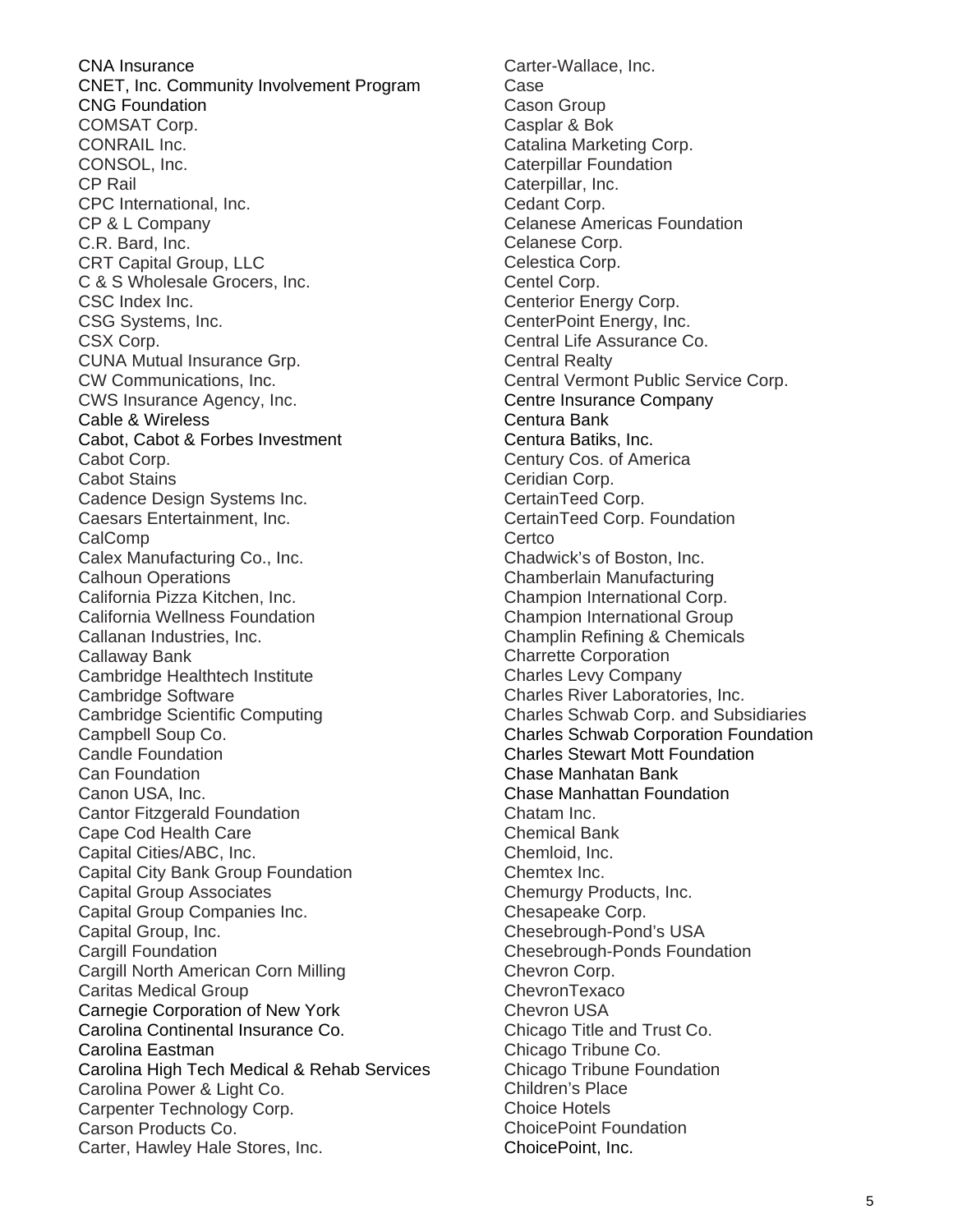CNA Insurance CNET, Inc. Community Involvement Program CNG Foundation COMSAT Corp. CONRAIL Inc. CONSOL, Inc. CP Rail CPC International, Inc. CP & L Company C.R. Bard, Inc. CRT Capital Group, LLC C & S Wholesale Grocers, Inc. CSC Index Inc. CSG Systems, Inc. CSX Corp. CUNA Mutual Insurance Grp. CW Communications, Inc. CWS Insurance Agency, Inc. Cable & Wireless Cabot, Cabot & Forbes Investment Cabot Corp. Cabot Stains Cadence Design Systems Inc. Caesars Entertainment, Inc. CalComp Calex Manufacturing Co., Inc. Calhoun Operations California Pizza Kitchen, Inc. California Wellness Foundation Callanan Industries, Inc. Callaway Bank Cambridge Healthtech Institute Cambridge Software Cambridge Scientific Computing Campbell Soup Co. Candle Foundation Can Foundation Canon USA, Inc. Cantor Fitzgerald Foundation Cape Cod Health Care Capital Cities/ABC, Inc. Capital City Bank Group Foundation Capital Group Associates Capital Group Companies Inc. Capital Group, Inc. Cargill Foundation Cargill North American Corn Milling Caritas Medical Group Carnegie Corporation of New York Carolina Continental Insurance Co. Carolina Eastman Carolina High Tech Medical & Rehab Services Carolina Power & Light Co. Carpenter Technology Corp. Carson Products Co. Carter, Hawley Hale Stores, Inc.

Carter-Wallace, Inc. Case Cason Group Casplar & Bok Catalina Marketing Corp. Caterpillar Foundation Caterpillar, Inc. Cedant Corp. Celanese Americas Foundation Celanese Corp. Celestica Corp. Centel Corp. Centerior Energy Corp. CenterPoint Energy, Inc. Central Life Assurance Co. Central Realty Central Vermont Public Service Corp. Centre Insurance Company Centura Bank Centura Batiks, Inc. Century Cos. of America Ceridian Corp. CertainTeed Corp. CertainTeed Corp. Foundation **Certco** Chadwick's of Boston, Inc. Chamberlain Manufacturing Champion International Corp. Champion International Group Champlin Refining & Chemicals Charrette Corporation Charles Levy Company Charles River Laboratories, Inc. Charles Schwab Corp. and Subsidiaries Charles Schwab Corporation Foundation Charles Stewart Mott Foundation Chase Manhatan Bank Chase Manhattan Foundation Chatam Inc. Chemical Bank Chemloid, Inc. Chemtex Inc. Chemurgy Products, Inc. Chesapeake Corp. Chesebrough-Pond's USA Chesebrough-Ponds Foundation Chevron Corp. ChevronTexaco Chevron USA Chicago Title and Trust Co. Chicago Tribune Co. Chicago Tribune Foundation Children's Place Choice Hotels ChoicePoint Foundation ChoicePoint, Inc.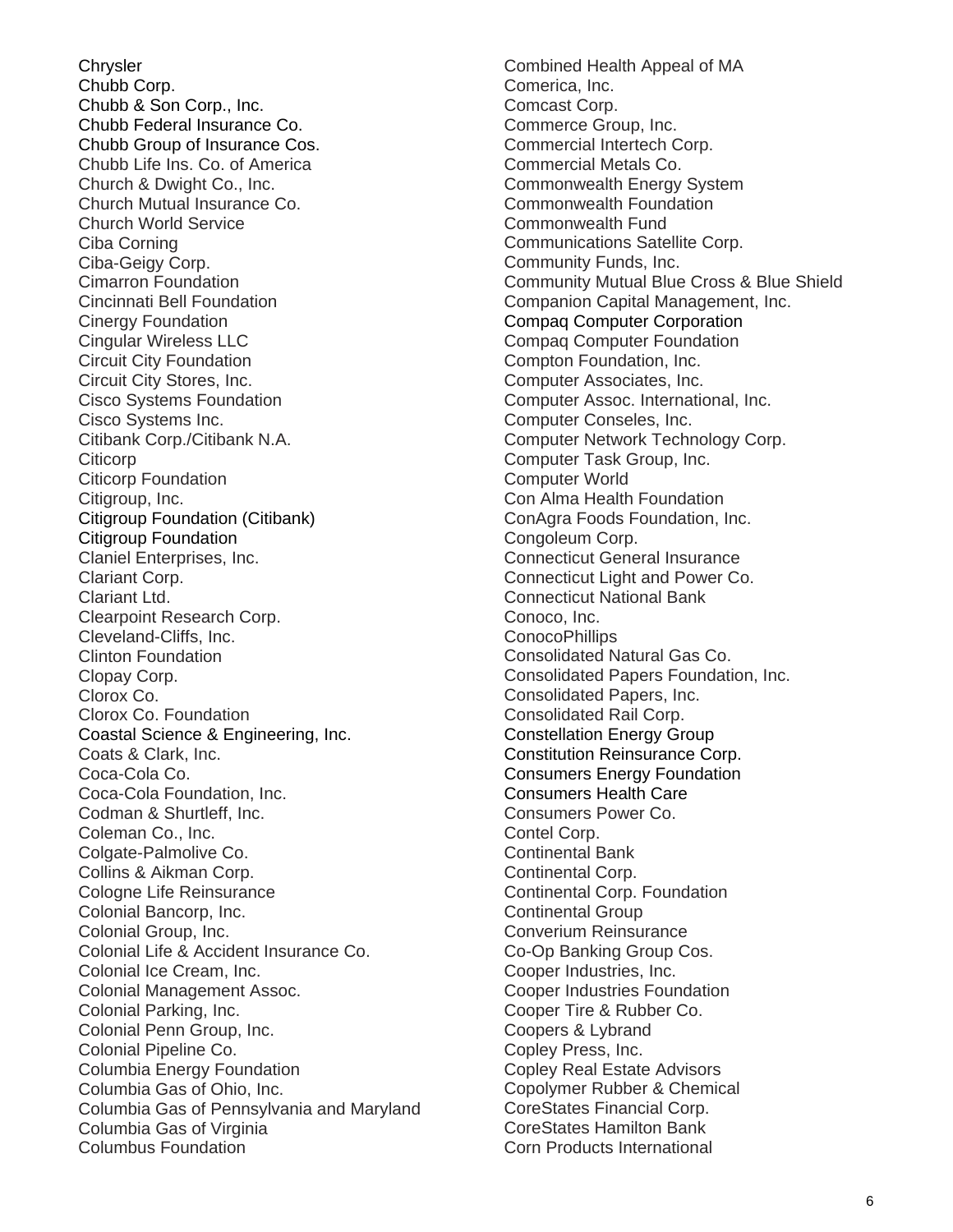**Chrysler** Chubb Corp. Chubb & Son Corp., Inc. Chubb Federal Insurance Co. Chubb Group of Insurance Cos. Chubb Life Ins. Co. of America Church & Dwight Co., Inc. Church Mutual Insurance Co. Church World Service Ciba Corning Ciba-Geigy Corp. Cimarron Foundation Cincinnati Bell Foundation Cinergy Foundation Cingular Wireless LLC Circuit City Foundation Circuit City Stores, Inc. Cisco Systems Foundation Cisco Systems Inc. Citibank Corp./Citibank N.A. **Citicorp** Citicorp Foundation Citigroup, Inc. Citigroup Foundation (Citibank) Citigroup Foundation Claniel Enterprises, Inc. Clariant Corp. Clariant Ltd. Clearpoint Research Corp. Cleveland-Cliffs, Inc. Clinton Foundation Clopay Corp. Clorox Co. Clorox Co. Foundation Coastal Science & Engineering, Inc. Coats & Clark, Inc. Coca-Cola Co. Coca-Cola Foundation, Inc. Codman & Shurtleff, Inc. Coleman Co., Inc. Colgate-Palmolive Co. Collins & Aikman Corp. Cologne Life Reinsurance Colonial Bancorp, Inc. Colonial Group, Inc. Colonial Life & Accident Insurance Co. Colonial Ice Cream, Inc. Colonial Management Assoc. Colonial Parking, Inc. Colonial Penn Group, Inc. Colonial Pipeline Co. Columbia Energy Foundation Columbia Gas of Ohio, Inc. Columbia Gas of Pennsylvania and Maryland Columbia Gas of Virginia Columbus Foundation

Combined Health Appeal of MA Comerica, Inc. Comcast Corp. Commerce Group, Inc. Commercial Intertech Corp. Commercial Metals Co. Commonwealth Energy System Commonwealth Foundation Commonwealth Fund Communications Satellite Corp. Community Funds, Inc. Community Mutual Blue Cross & Blue Shield Companion Capital Management, Inc. Compaq Computer Corporation Compaq Computer Foundation Compton Foundation, Inc. Computer Associates, Inc. Computer Assoc. International, Inc. Computer Conseles, Inc. Computer Network Technology Corp. Computer Task Group, Inc. Computer World Con Alma Health Foundation ConAgra Foods Foundation, Inc. Congoleum Corp. Connecticut General Insurance Connecticut Light and Power Co. Connecticut National Bank Conoco, Inc. ConocoPhillips Consolidated Natural Gas Co. Consolidated Papers Foundation, Inc. Consolidated Papers, Inc. Consolidated Rail Corp. Constellation Energy Group Constitution Reinsurance Corp. Consumers Energy Foundation Consumers Health Care Consumers Power Co. Contel Corp. Continental Bank Continental Corp. Continental Corp. Foundation Continental Group Converium Reinsurance Co-Op Banking Group Cos. Cooper Industries, Inc. Cooper Industries Foundation Cooper Tire & Rubber Co. Coopers & Lybrand Copley Press, Inc. Copley Real Estate Advisors Copolymer Rubber & Chemical CoreStates Financial Corp. CoreStates Hamilton Bank Corn Products International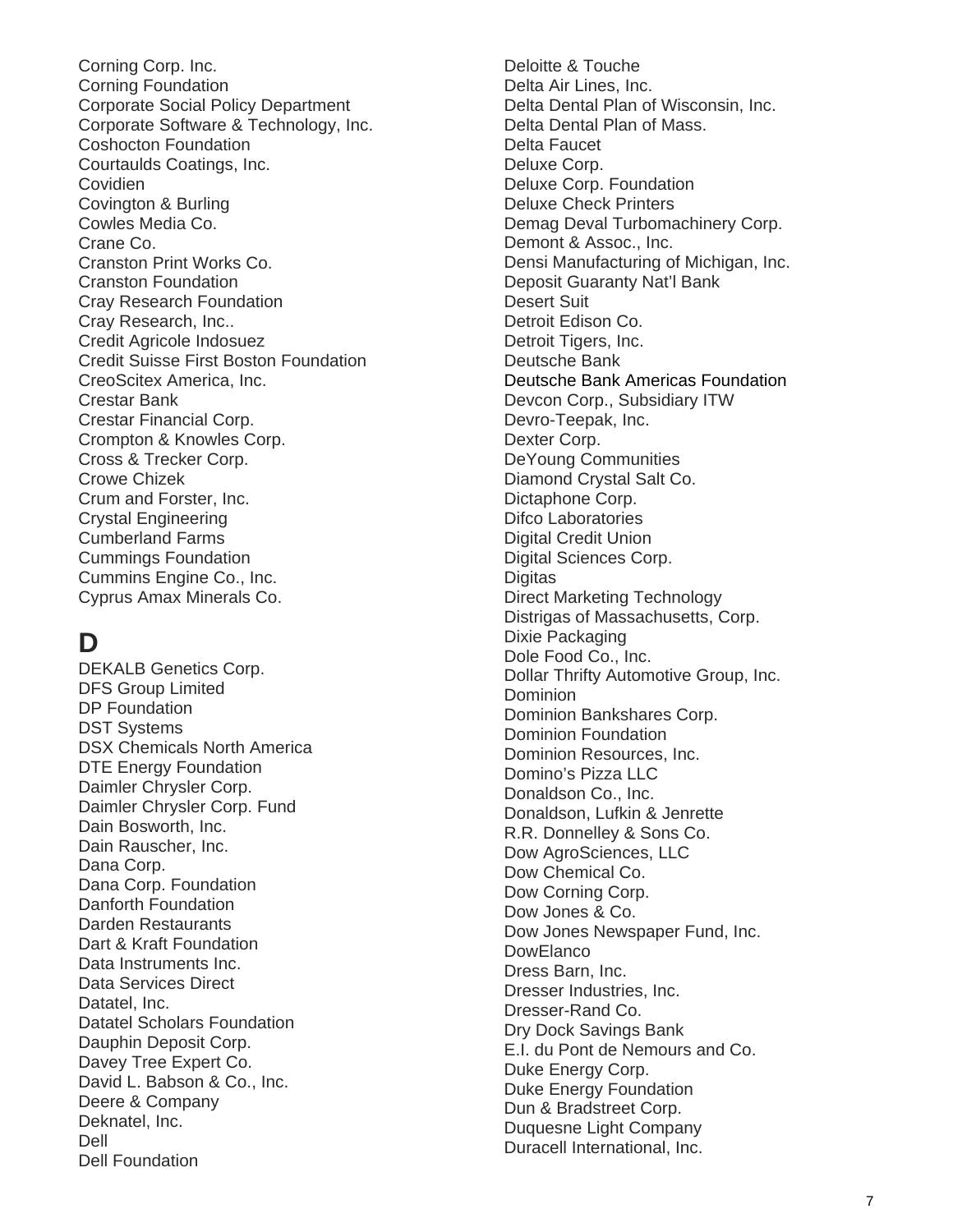Corning Corp. Inc. Corning Foundation Corporate Social Policy Department Corporate Software & Technology, Inc. Coshocton Foundation Courtaulds Coatings, Inc. Covidien Covington & Burling Cowles Media Co. Crane Co. Cranston Print Works Co. Cranston Foundation Cray Research Foundation Cray Research, Inc.. Credit Agricole Indosuez Credit Suisse First Boston Foundation CreoScitex America, Inc. Crestar Bank Crestar Financial Corp. Crompton & Knowles Corp. Cross & Trecker Corp. Crowe Chizek Crum and Forster, Inc. Crystal Engineering Cumberland Farms Cummings Foundation Cummins Engine Co., Inc. Cyprus Amax Minerals Co.

## **D**

DEKALB Genetics Corp. DFS Group Limited DP Foundation DST Systems DSX Chemicals North America DTE Energy Foundation Daimler Chrysler Corp. Daimler Chrysler Corp. Fund Dain Bosworth, Inc. Dain Rauscher, Inc. Dana Corp. Dana Corp. Foundation Danforth Foundation Darden Restaurants Dart & Kraft Foundation Data Instruments Inc. Data Services Direct Datatel, Inc. Datatel Scholars Foundation Dauphin Deposit Corp. Davey Tree Expert Co. David L. Babson & Co., Inc. Deere & Company Deknatel, Inc. Dell Dell Foundation

Deloitte & Touche Delta Air Lines, Inc. Delta Dental Plan of Wisconsin, Inc. Delta Dental Plan of Mass. Delta Faucet Deluxe Corp. Deluxe Corp. Foundation Deluxe Check Printers Demag Deval Turbomachinery Corp. Demont & Assoc., Inc. Densi Manufacturing of Michigan, Inc. Deposit Guaranty Nat'l Bank Desert Suit Detroit Edison Co. Detroit Tigers, Inc. Deutsche Bank Deutsche Bank Americas Foundation Devcon Corp., Subsidiary ITW Devro-Teepak, Inc. Dexter Corp. DeYoung Communities Diamond Crystal Salt Co. Dictaphone Corp. Difco Laboratories Digital Credit Union Digital Sciences Corp. **Digitas** Direct Marketing Technology Distrigas of Massachusetts, Corp. Dixie Packaging Dole Food Co., Inc. Dollar Thrifty Automotive Group, Inc. **Dominion** Dominion Bankshares Corp. Dominion Foundation Dominion Resources, Inc. Domino's Pizza LLC Donaldson Co., Inc. Donaldson, Lufkin & Jenrette R.R. Donnelley & Sons Co. Dow AgroSciences, LLC Dow Chemical Co. Dow Corning Corp. Dow Jones & Co. Dow Jones Newspaper Fund, Inc. **DowElanco** Dress Barn, Inc. Dresser Industries, Inc. Dresser-Rand Co. Dry Dock Savings Bank E.I. du Pont de Nemours and Co. Duke Energy Corp. Duke Energy Foundation Dun & Bradstreet Corp. Duquesne Light Company Duracell International, Inc.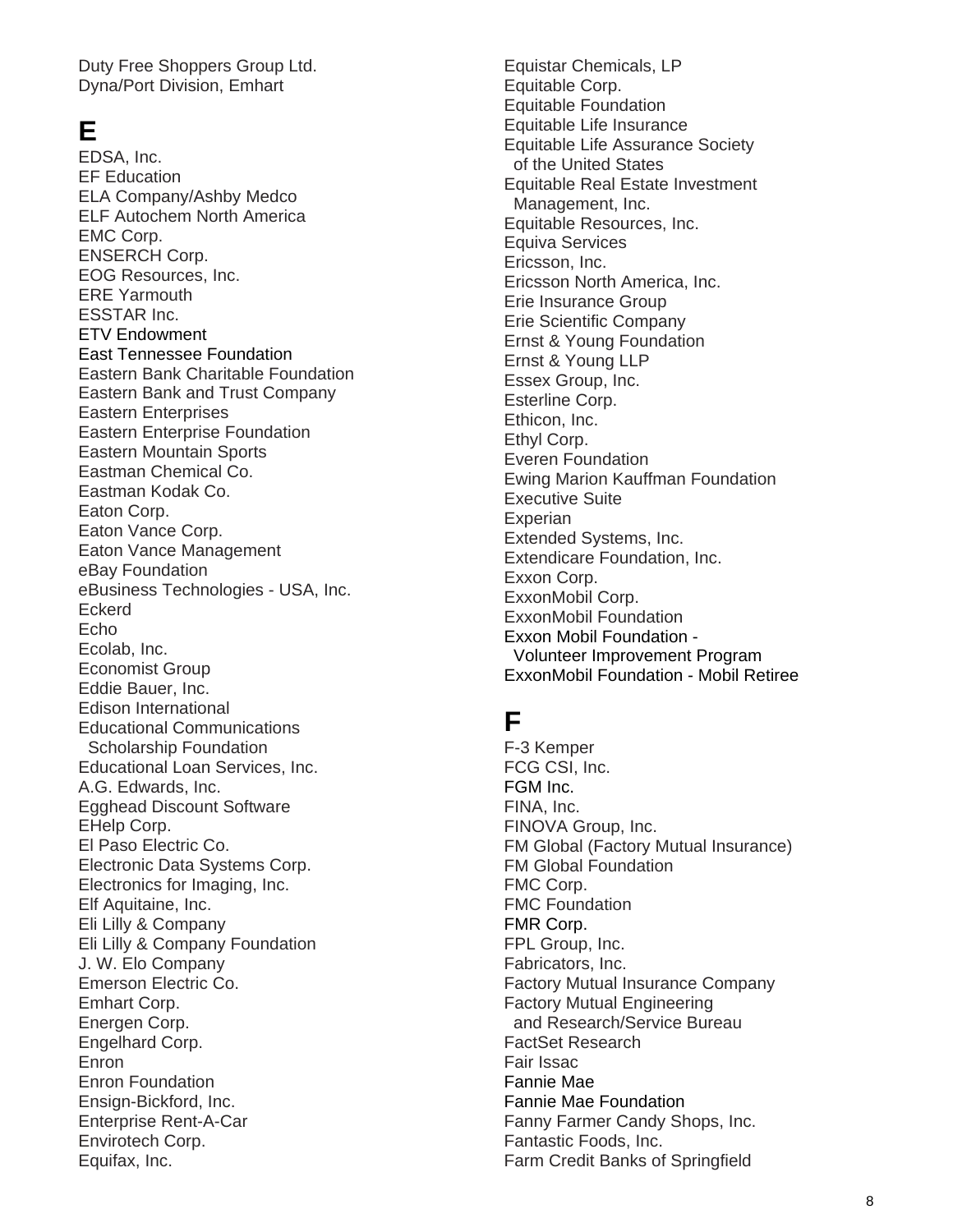Duty Free Shoppers Group Ltd. Dyna/Port Division, Emhart

### **E**

EDSA, Inc. EF Education ELA Company/Ashby Medco ELF Autochem North America EMC Corp. ENSERCH Corp. EOG Resources, Inc. ERE Yarmouth ESSTAR Inc. ETV Endowment East Tennessee Foundation Eastern Bank Charitable Foundation Eastern Bank and Trust Company Eastern Enterprises Eastern Enterprise Foundation Eastern Mountain Sports Eastman Chemical Co. Eastman Kodak Co. Eaton Corp. Eaton Vance Corp. Eaton Vance Management eBay Foundation eBusiness Technologies - USA, Inc. Eckerd Echo Ecolab, Inc. Economist Group Eddie Bauer, Inc. Edison International Educational Communications Scholarship Foundation Educational Loan Services, Inc. A.G. Edwards, Inc. Egghead Discount Software EHelp Corp. El Paso Electric Co. Electronic Data Systems Corp. Electronics for Imaging, Inc. Elf Aquitaine, Inc. Eli Lilly & Company Eli Lilly & Company Foundation J. W. Elo Company Emerson Electric Co. Emhart Corp. Energen Corp. Engelhard Corp. Enron Enron Foundation Ensign-Bickford, Inc. Enterprise Rent-A-Car Envirotech Corp. Equifax, Inc.

Equistar Chemicals, LP Equitable Corp. Equitable Foundation Equitable Life Insurance Equitable Life Assurance Society of the United States Equitable Real Estate Investment Management, Inc. Equitable Resources, Inc. Equiva Services Ericsson, Inc. Ericsson North America, Inc. Erie Insurance Group Erie Scientific Company Ernst & Young Foundation Ernst & Young LLP Essex Group, Inc. Esterline Corp. Ethicon, Inc. Ethyl Corp. Everen Foundation Ewing Marion Kauffman Foundation Executive Suite **Experian** Extended Systems, Inc. Extendicare Foundation, Inc. Exxon Corp. ExxonMobil Corp. ExxonMobil Foundation Exxon Mobil Foundation - Volunteer Improvement Program ExxonMobil Foundation - Mobil Retiree

## **F**

F-3 Kemper FCG CSI, Inc. FGM Inc. FINA, Inc. FINOVA Group, Inc. FM Global (Factory Mutual Insurance) FM Global Foundation FMC Corp. FMC Foundation FMR Corp. FPL Group, Inc. Fabricators, Inc. Factory Mutual Insurance Company Factory Mutual Engineering and Research/Service Bureau FactSet Research Fair Issac Fannie Mae Fannie Mae Foundation Fanny Farmer Candy Shops, Inc. Fantastic Foods, Inc. Farm Credit Banks of Springfield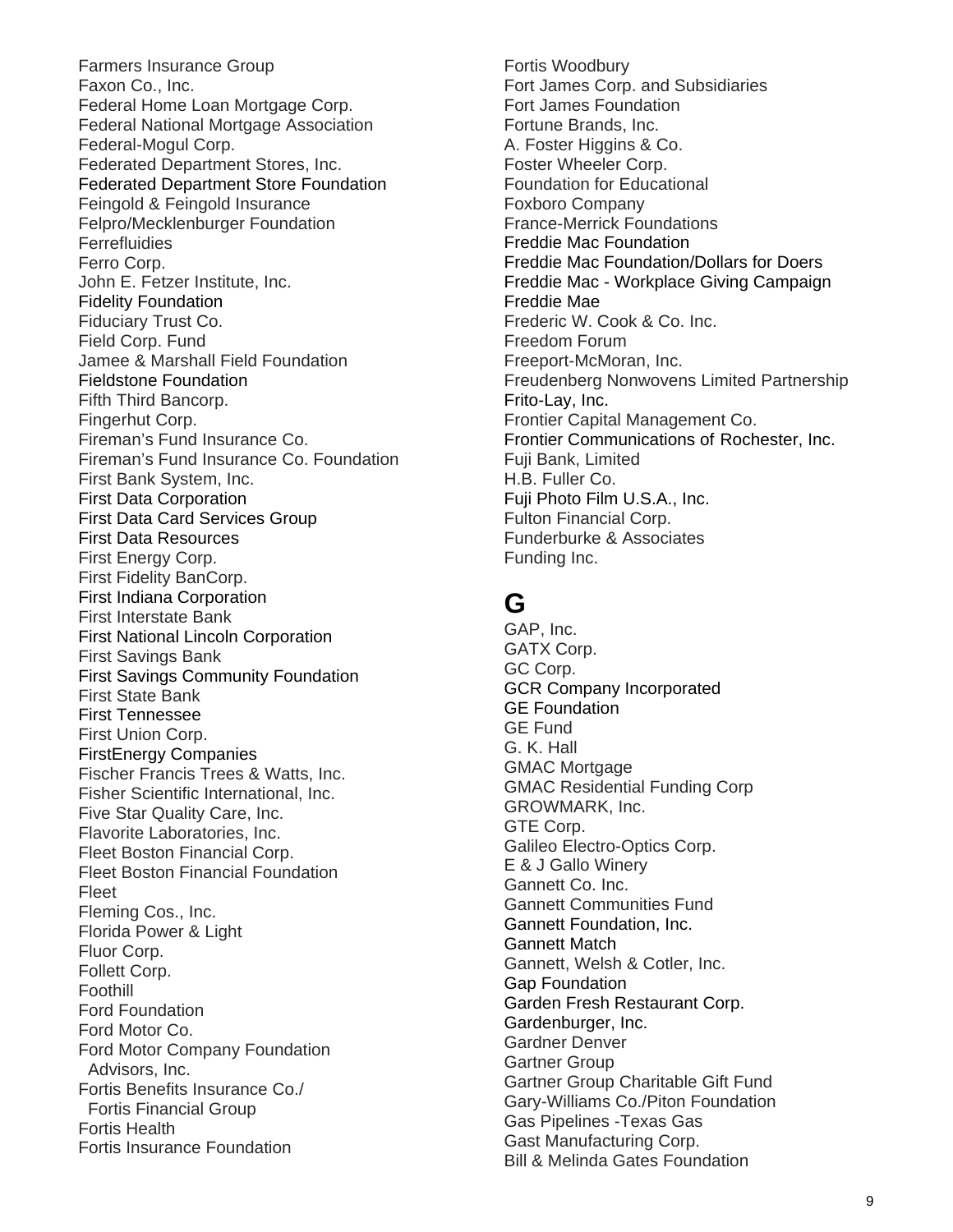Farmers Insurance Group Faxon Co., Inc. Federal Home Loan Mortgage Corp. Federal National Mortgage Association Federal-Mogul Corp. Federated Department Stores, Inc. Federated Department Store Foundation Feingold & Feingold Insurance Felpro/Mecklenburger Foundation **Ferrefluidies** Ferro Corp. John E. Fetzer Institute, Inc. Fidelity Foundation Fiduciary Trust Co. Field Corp. Fund Jamee & Marshall Field Foundation Fieldstone Foundation Fifth Third Bancorp. Fingerhut Corp. Fireman's Fund Insurance Co. Fireman's Fund Insurance Co. Foundation First Bank System, Inc. First Data Corporation First Data Card Services Group First Data Resources First Energy Corp. First Fidelity BanCorp. First Indiana Corporation First Interstate Bank First National Lincoln Corporation First Savings Bank First Savings Community Foundation First State Bank First Tennessee First Union Corp. FirstEnergy Companies Fischer Francis Trees & Watts, Inc. Fisher Scientific International, Inc. Five Star Quality Care, Inc. Flavorite Laboratories, Inc. Fleet Boston Financial Corp. Fleet Boston Financial Foundation Fleet Fleming Cos., Inc. Florida Power & Light Fluor Corp. Follett Corp. Foothill Ford Foundation Ford Motor Co. Ford Motor Company Foundation Advisors, Inc. Fortis Benefits Insurance Co./ Fortis Financial Group Fortis Health Fortis Insurance Foundation

Fortis Woodbury Fort James Corp. and Subsidiaries Fort James Foundation Fortune Brands, Inc. A. Foster Higgins & Co. Foster Wheeler Corp. Foundation for Educational Foxboro Company France-Merrick Foundations Freddie Mac Foundation Freddie Mac Foundation/Dollars for Doers Freddie Mac - Workplace Giving Campaign Freddie Mae Frederic W. Cook & Co. Inc. Freedom Forum Freeport-McMoran, Inc. Freudenberg Nonwovens Limited Partnership Frito-Lay, Inc. Frontier Capital Management Co. Frontier Communications of Rochester, Inc. Fuji Bank, Limited H.B. Fuller Co. Fuji Photo Film U.S.A., Inc. Fulton Financial Corp. Funderburke & Associates Funding Inc.

# **G**

GAP, Inc. GATX Corp. GC Corp. GCR Company Incorporated GE Foundation GE Fund G. K. Hall GMAC Mortgage GMAC Residential Funding Corp GROWMARK, Inc. GTE Corp. Galileo Electro-Optics Corp. E & J Gallo Winery Gannett Co. Inc. Gannett Communities Fund Gannett Foundation, Inc. Gannett Match Gannett, Welsh & Cotler, Inc. Gap Foundation Garden Fresh Restaurant Corp. Gardenburger, Inc. Gardner Denver Gartner Group Gartner Group Charitable Gift Fund Gary-Williams Co./Piton Foundation Gas Pipelines -Texas Gas Gast Manufacturing Corp. Bill & Melinda Gates Foundation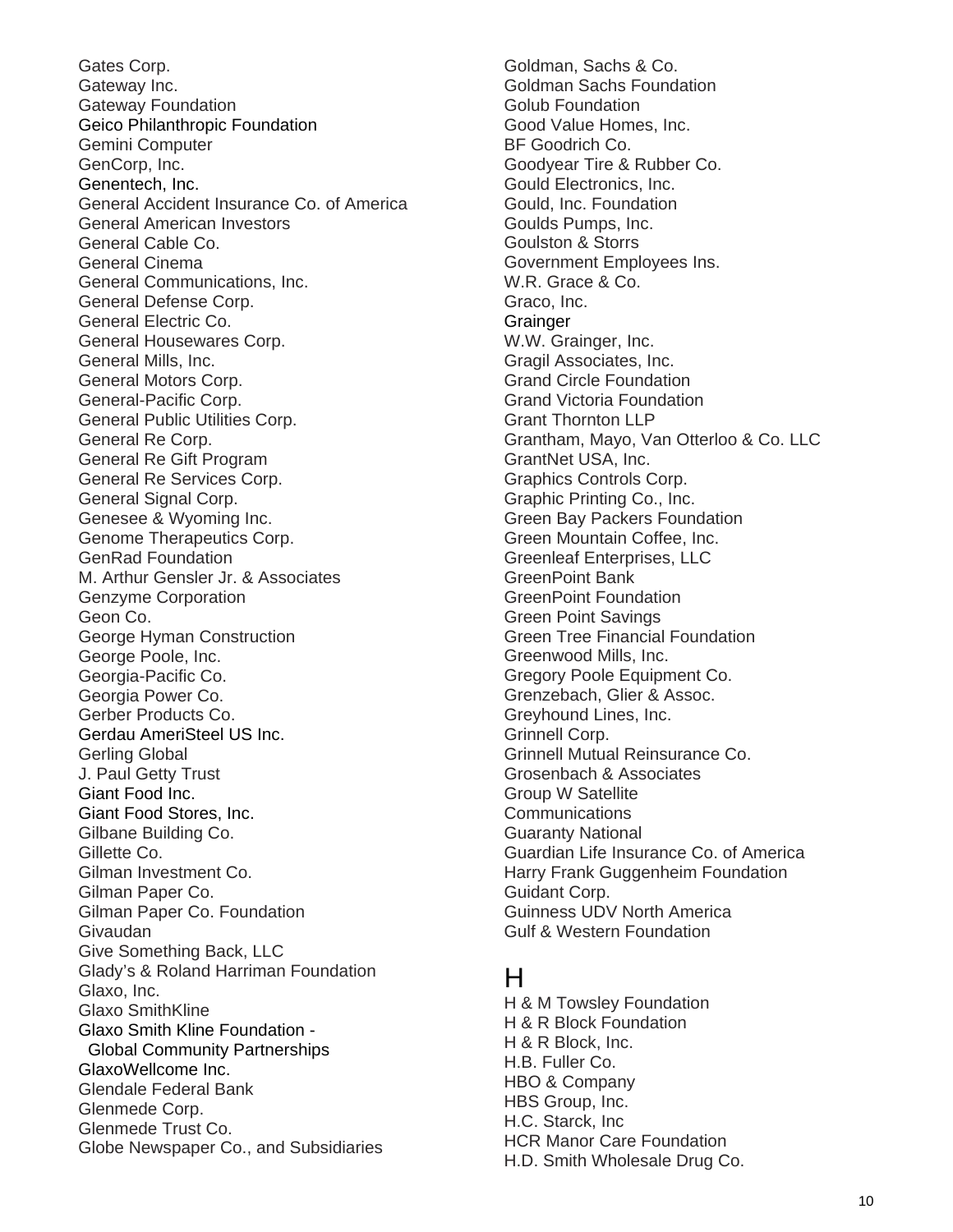Gates Corp. Gateway Inc. Gateway Foundation Geico Philanthropic Foundation Gemini Computer GenCorp, Inc. Genentech, Inc. General Accident Insurance Co. of America General American Investors General Cable Co. General Cinema General Communications, Inc. General Defense Corp. General Electric Co. General Housewares Corp. General Mills, Inc. General Motors Corp. General-Pacific Corp. General Public Utilities Corp. General Re Corp. General Re Gift Program General Re Services Corp. General Signal Corp. Genesee & Wyoming Inc. Genome Therapeutics Corp. GenRad Foundation M. Arthur Gensler Jr. & Associates Genzyme Corporation Geon Co. George Hyman Construction George Poole, Inc. Georgia-Pacific Co. Georgia Power Co. Gerber Products Co. Gerdau AmeriSteel US Inc. Gerling Global J. Paul Getty Trust Giant Food Inc. Giant Food Stores, Inc. Gilbane Building Co. Gillette Co. Gilman Investment Co. Gilman Paper Co. Gilman Paper Co. Foundation Givaudan Give Something Back, LLC Glady's & Roland Harriman Foundation Glaxo, Inc. Glaxo SmithKline Glaxo Smith Kline Foundation - Global Community Partnerships GlaxoWellcome Inc. Glendale Federal Bank Glenmede Corp. Glenmede Trust Co. Globe Newspaper Co., and Subsidiaries

Goldman, Sachs & Co. Goldman Sachs Foundation Golub Foundation Good Value Homes, Inc. BF Goodrich Co. Goodyear Tire & Rubber Co. Gould Electronics, Inc. Gould, Inc. Foundation Goulds Pumps, Inc. Goulston & Storrs Government Employees Ins. W.R. Grace & Co. Graco, Inc. **Grainger** W.W. Grainger, Inc. Gragil Associates, Inc. Grand Circle Foundation Grand Victoria Foundation Grant Thornton LLP Grantham, Mayo, Van Otterloo & Co. LLC GrantNet USA, Inc. Graphics Controls Corp. Graphic Printing Co., Inc. Green Bay Packers Foundation Green Mountain Coffee, Inc. Greenleaf Enterprises, LLC GreenPoint Bank GreenPoint Foundation Green Point Savings Green Tree Financial Foundation Greenwood Mills, Inc. Gregory Poole Equipment Co. Grenzebach, Glier & Assoc. Greyhound Lines, Inc. Grinnell Corp. Grinnell Mutual Reinsurance Co. Grosenbach & Associates Group W Satellite **Communications** Guaranty National Guardian Life Insurance Co. of America Harry Frank Guggenheim Foundation Guidant Corp. Guinness UDV North America Gulf & Western Foundation

#### H

H & M Towsley Foundation H & R Block Foundation H & R Block, Inc. H.B. Fuller Co. HBO & Company HBS Group, Inc. H.C. Starck, Inc HCR Manor Care Foundation H.D. Smith Wholesale Drug Co.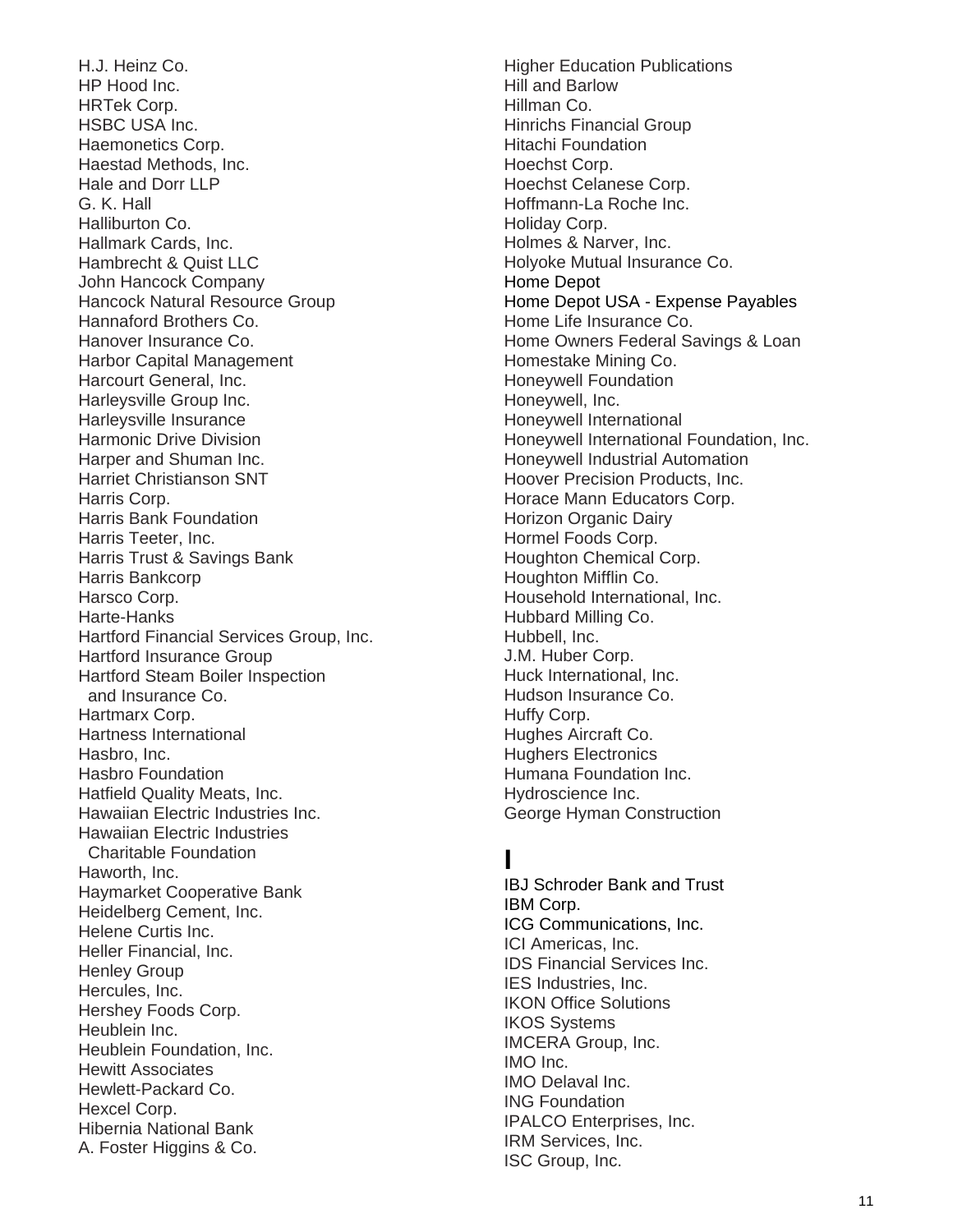H.J. Heinz Co. HP Hood Inc. HRTek Corp. HSBC USA Inc. Haemonetics Corp. Haestad Methods, Inc. Hale and Dorr LLP G. K. Hall Halliburton Co. Hallmark Cards, Inc. Hambrecht & Quist LLC John Hancock Company Hancock Natural Resource Group Hannaford Brothers Co. Hanover Insurance Co. Harbor Capital Management Harcourt General, Inc. Harleysville Group Inc. Harleysville Insurance Harmonic Drive Division Harper and Shuman Inc. Harriet Christianson SNT Harris Corp. Harris Bank Foundation Harris Teeter, Inc. Harris Trust & Savings Bank Harris Bankcorp Harsco Corp. Harte-Hanks Hartford Financial Services Group, Inc. Hartford Insurance Group Hartford Steam Boiler Inspection and Insurance Co. Hartmarx Corp. Hartness International Hasbro, Inc. Hasbro Foundation Hatfield Quality Meats, Inc. Hawaiian Electric Industries Inc. Hawaiian Electric Industries Charitable Foundation Haworth, Inc. Haymarket Cooperative Bank Heidelberg Cement, Inc. Helene Curtis Inc. Heller Financial, Inc. Henley Group Hercules, Inc. Hershey Foods Corp. Heublein Inc. Heublein Foundation, Inc. Hewitt Associates Hewlett-Packard Co. Hexcel Corp. Hibernia National Bank A. Foster Higgins & Co.

Higher Education Publications Hill and Barlow Hillman Co. Hinrichs Financial Group Hitachi Foundation Hoechst Corp. Hoechst Celanese Corp. Hoffmann-La Roche Inc. Holiday Corp. Holmes & Narver, Inc. Holyoke Mutual Insurance Co. Home Depot Home Depot USA - Expense Payables Home Life Insurance Co. Home Owners Federal Savings & Loan Homestake Mining Co. Honeywell Foundation Honeywell, Inc. Honeywell International Honeywell International Foundation, Inc. Honeywell Industrial Automation Hoover Precision Products, Inc. Horace Mann Educators Corp. Horizon Organic Dairy Hormel Foods Corp. Houghton Chemical Corp. Houghton Mifflin Co. Household International, Inc. Hubbard Milling Co. Hubbell, Inc. J.M. Huber Corp. Huck International, Inc. Hudson Insurance Co. Huffy Corp. Hughes Aircraft Co. Hughers Electronics Humana Foundation Inc. Hydroscience Inc. George Hyman Construction

### **I**

IBJ Schroder Bank and Trust IBM Corp. ICG Communications, Inc. ICI Americas, Inc. IDS Financial Services Inc. IES Industries, Inc. IKON Office Solutions IKOS Systems IMCERA Group, Inc. IMO Inc. IMO Delaval Inc. ING Foundation IPALCO Enterprises, Inc. IRM Services, Inc. ISC Group, Inc.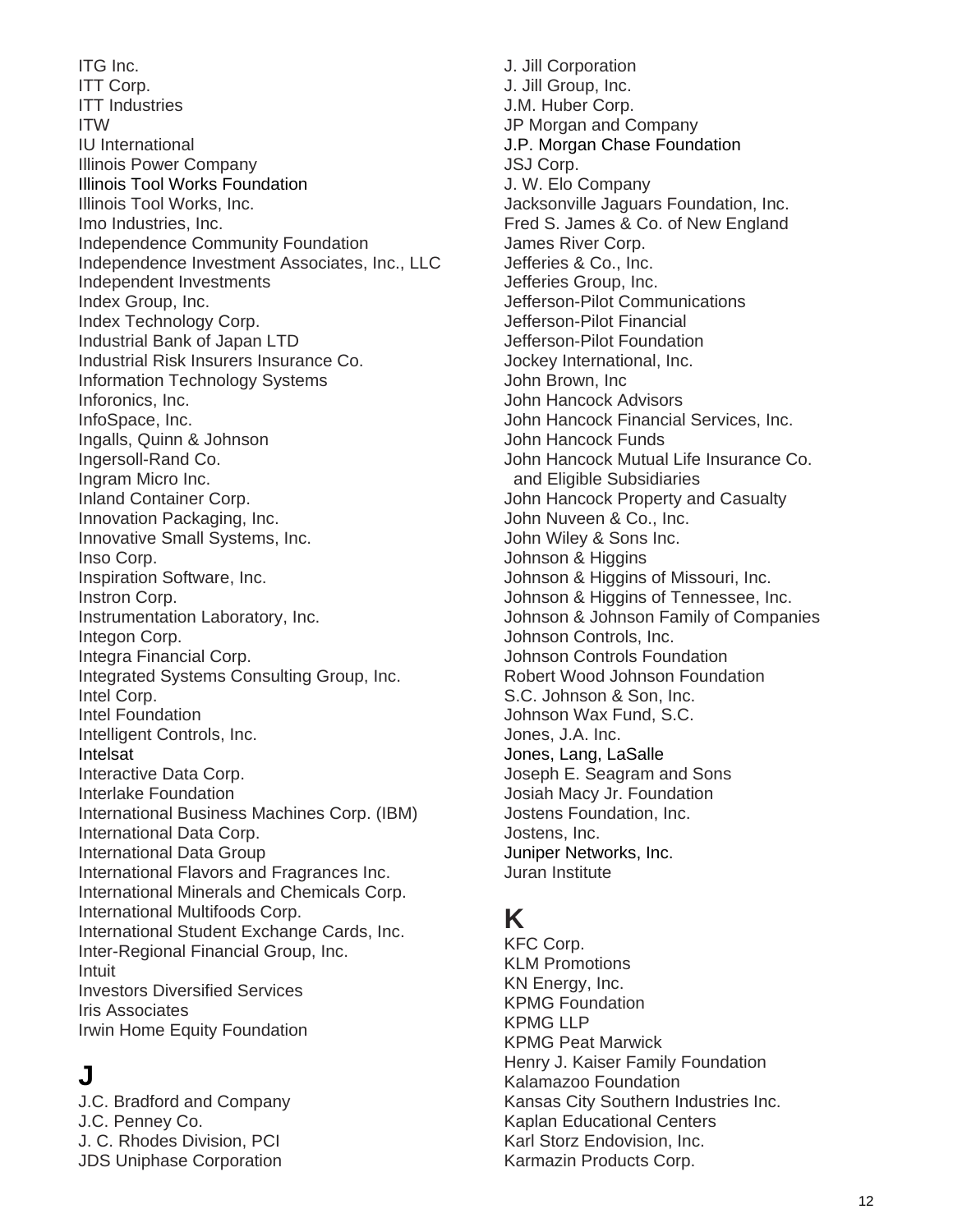ITG Inc. ITT Corp. ITT Industries ITW IU International Illinois Power Company Illinois Tool Works Foundation Illinois Tool Works, Inc. Imo Industries, Inc. Independence Community Foundation Independence Investment Associates, Inc., LLC Independent Investments Index Group, Inc. Index Technology Corp. Industrial Bank of Japan LTD Industrial Risk Insurers Insurance Co. Information Technology Systems Inforonics, Inc. InfoSpace, Inc. Ingalls, Quinn & Johnson Ingersoll-Rand Co. Ingram Micro Inc. Inland Container Corp. Innovation Packaging, Inc. Innovative Small Systems, Inc. Inso Corp. Inspiration Software, Inc. Instron Corp. Instrumentation Laboratory, Inc. Integon Corp. Integra Financial Corp. Integrated Systems Consulting Group, Inc. Intel Corp. Intel Foundation Intelligent Controls, Inc. Intelsat Interactive Data Corp. Interlake Foundation International Business Machines Corp. (IBM) International Data Corp. International Data Group International Flavors and Fragrances Inc. International Minerals and Chemicals Corp. International Multifoods Corp. International Student Exchange Cards, Inc. Inter-Regional Financial Group, Inc. Intuit Investors Diversified Services Iris Associates Irwin Home Equity Foundation

# **J**

J.C. Bradford and Company J.C. Penney Co. J. C. Rhodes Division, PCI JDS Uniphase Corporation

J. Jill Corporation J. Jill Group, Inc. J.M. Huber Corp. JP Morgan and Company J.P. Morgan Chase Foundation JSJ Corp. J. W. Elo Company Jacksonville Jaguars Foundation, Inc. Fred S. James & Co. of New England James River Corp. Jefferies & Co., Inc. Jefferies Group, Inc. Jefferson-Pilot Communications Jefferson-Pilot Financial Jefferson-Pilot Foundation Jockey International, Inc. John Brown, Inc John Hancock Advisors John Hancock Financial Services, Inc. John Hancock Funds John Hancock Mutual Life Insurance Co. and Eligible Subsidiaries John Hancock Property and Casualty John Nuveen & Co., Inc. John Wiley & Sons Inc. Johnson & Higgins Johnson & Higgins of Missouri, Inc. Johnson & Higgins of Tennessee, Inc. Johnson & Johnson Family of Companies Johnson Controls, Inc. Johnson Controls Foundation Robert Wood Johnson Foundation S.C. Johnson & Son, Inc. Johnson Wax Fund, S.C. Jones, J.A. Inc. Jones, Lang, LaSalle Joseph E. Seagram and Sons Josiah Macy Jr. Foundation Jostens Foundation, Inc. Jostens, Inc. Juniper Networks, Inc. Juran Institute

### **K**

KFC Corp. KLM Promotions KN Energy, Inc. KPMG Foundation KPMG LLP KPMG Peat Marwick Henry J. Kaiser Family Foundation Kalamazoo Foundation Kansas City Southern Industries Inc. Kaplan Educational Centers Karl Storz Endovision, Inc. Karmazin Products Corp.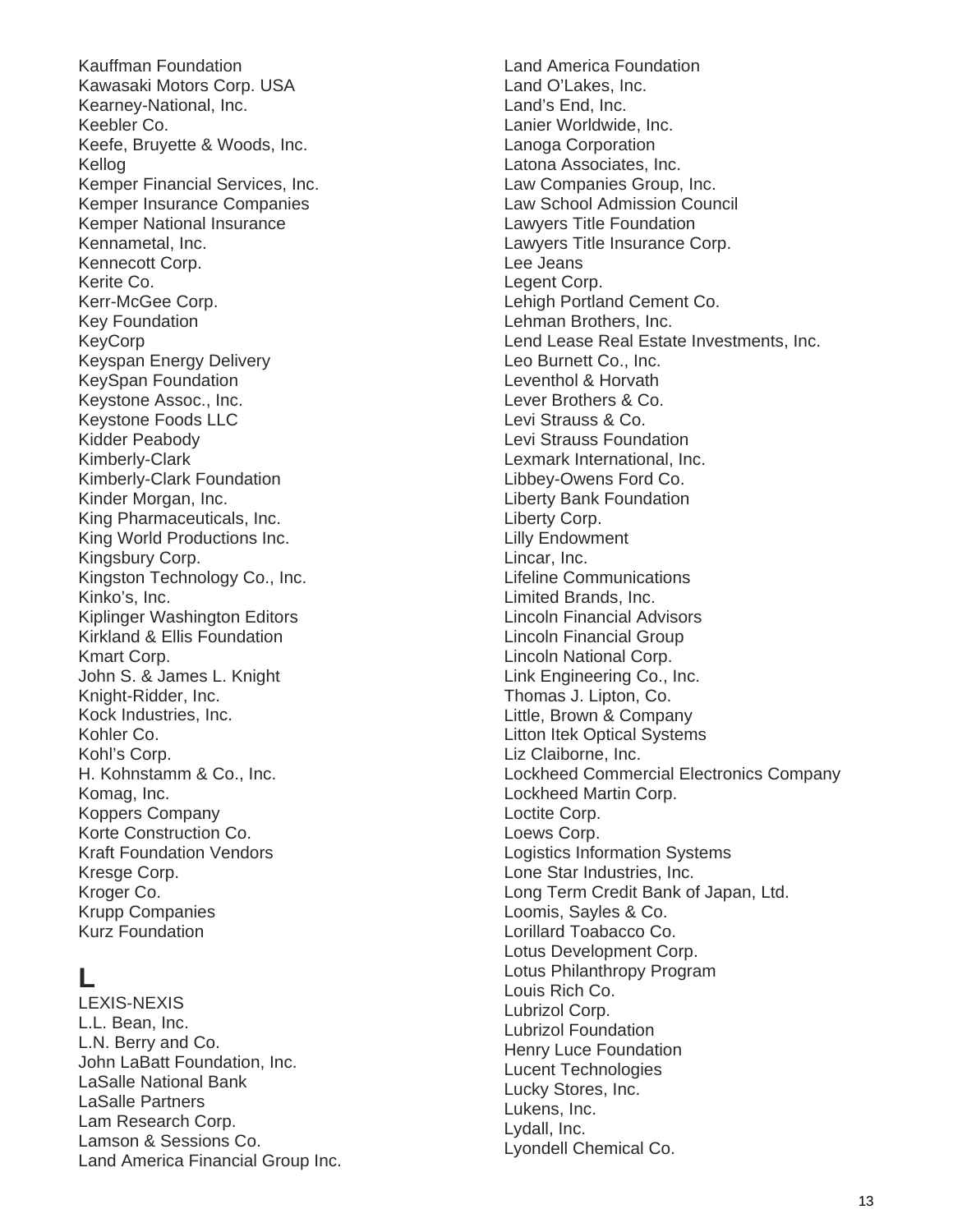Kauffman Foundation Kawasaki Motors Corp. USA Kearney-National, Inc. Keebler Co. Keefe, Bruyette & Woods, Inc. Kellog Kemper Financial Services, Inc. Kemper Insurance Companies Kemper National Insurance Kennametal, Inc. Kennecott Corp. Kerite Co. Kerr-McGee Corp. Key Foundation KeyCorp Keyspan Energy Delivery KeySpan Foundation Keystone Assoc., Inc. Keystone Foods LLC Kidder Peabody Kimberly-Clark Kimberly-Clark Foundation Kinder Morgan, Inc. King Pharmaceuticals, Inc. King World Productions Inc. Kingsbury Corp. Kingston Technology Co., Inc. Kinko's, Inc. Kiplinger Washington Editors Kirkland & Ellis Foundation Kmart Corp. John S. & James L. Knight Knight-Ridder, Inc. Kock Industries, Inc. Kohler Co. Kohl's Corp. H. Kohnstamm & Co., Inc. Komag, Inc. Koppers Company Korte Construction Co. Kraft Foundation Vendors Kresge Corp. Kroger Co. Krupp Companies Kurz Foundation

### **L**

LEXIS-NEXIS L.L. Bean, Inc. L.N. Berry and Co. John LaBatt Foundation, Inc. LaSalle National Bank LaSalle Partners Lam Research Corp. Lamson & Sessions Co. Land America Financial Group Inc.

Land America Foundation Land O'Lakes, Inc. Land's End, Inc. Lanier Worldwide, Inc. Lanoga Corporation Latona Associates, Inc. Law Companies Group, Inc. Law School Admission Council Lawyers Title Foundation Lawyers Title Insurance Corp. Lee Jeans Legent Corp. Lehigh Portland Cement Co. Lehman Brothers, Inc. Lend Lease Real Estate Investments, Inc. Leo Burnett Co., Inc. Leventhol & Horvath Lever Brothers & Co. Levi Strauss & Co. Levi Strauss Foundation Lexmark International, Inc. Libbey-Owens Ford Co. Liberty Bank Foundation Liberty Corp. Lilly Endowment Lincar, Inc. Lifeline Communications Limited Brands, Inc. Lincoln Financial Advisors Lincoln Financial Group Lincoln National Corp. Link Engineering Co., Inc. Thomas J. Lipton, Co. Little, Brown & Company Litton Itek Optical Systems Liz Claiborne, Inc. Lockheed Commercial Electronics Company Lockheed Martin Corp. Loctite Corp. Loews Corp. Logistics Information Systems Lone Star Industries, Inc. Long Term Credit Bank of Japan, Ltd. Loomis, Sayles & Co. Lorillard Toabacco Co. Lotus Development Corp. Lotus Philanthropy Program Louis Rich Co. Lubrizol Corp. Lubrizol Foundation Henry Luce Foundation Lucent Technologies Lucky Stores, Inc. Lukens, Inc. Lydall, Inc. Lyondell Chemical Co.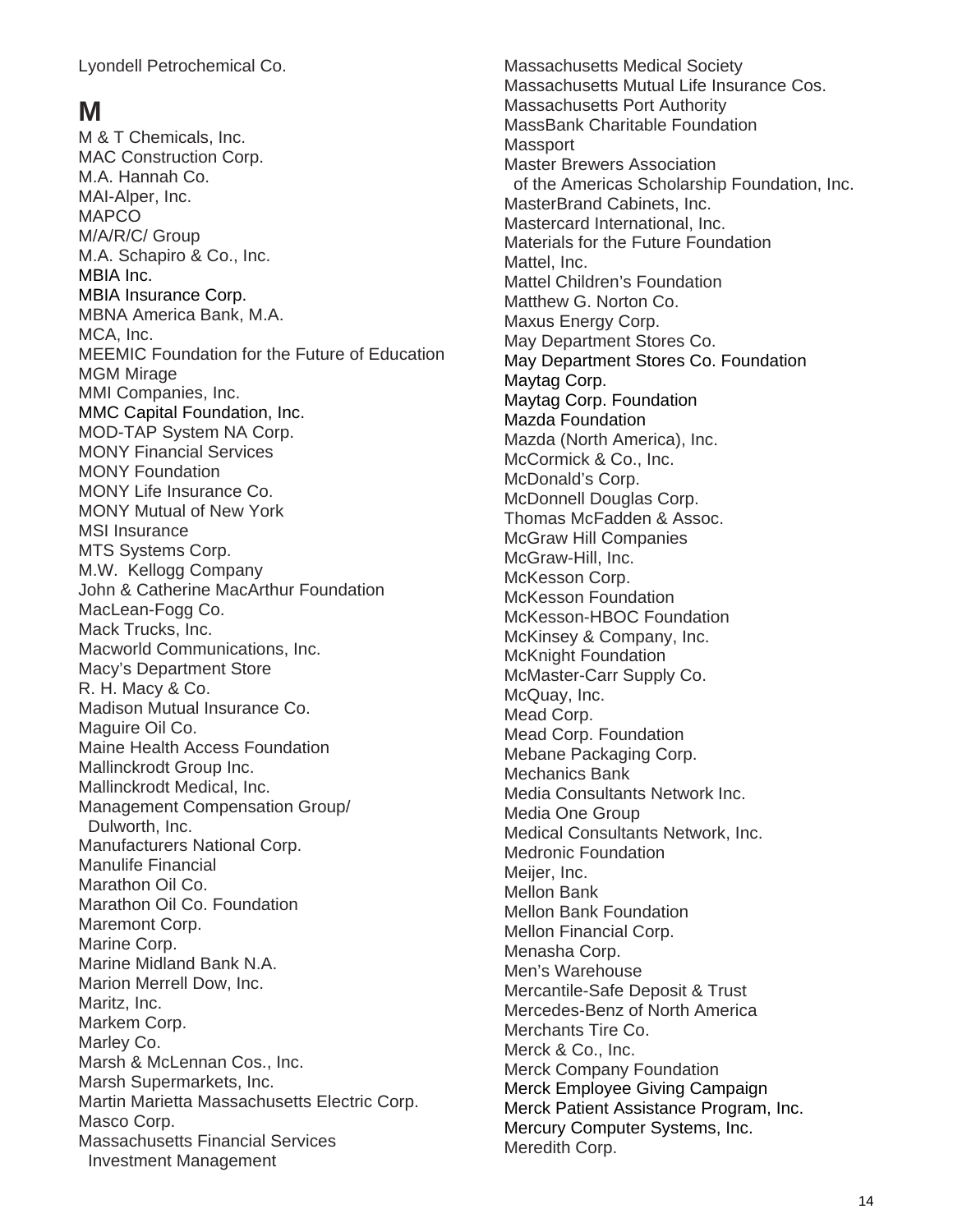Lyondell Petrochemical Co.

### **M**

M & T Chemicals, Inc. MAC Construction Corp. M.A. Hannah Co. MAI-Alper, Inc. MAPCO M/A/R/C/ Group M.A. Schapiro & Co., Inc. MBIA Inc. MBIA Insurance Corp. MBNA America Bank, M.A. MCA, Inc. MEEMIC Foundation for the Future of Education MGM Mirage MMI Companies, Inc. MMC Capital Foundation, Inc. MOD-TAP System NA Corp. MONY Financial Services MONY Foundation MONY Life Insurance Co. MONY Mutual of New York MSI Insurance MTS Systems Corp. M.W. Kellogg Company John & Catherine MacArthur Foundation MacLean-Fogg Co. Mack Trucks, Inc. Macworld Communications, Inc. Macy's Department Store R. H. Macy & Co. Madison Mutual Insurance Co. Maguire Oil Co. Maine Health Access Foundation Mallinckrodt Group Inc. Mallinckrodt Medical, Inc. Management Compensation Group/ Dulworth, Inc. Manufacturers National Corp. Manulife Financial Marathon Oil Co. Marathon Oil Co. Foundation Maremont Corp. Marine Corp. Marine Midland Bank N.A. Marion Merrell Dow, Inc. Maritz, Inc. Markem Corp. Marley Co. Marsh & McLennan Cos., Inc. Marsh Supermarkets, Inc. Martin Marietta Massachusetts Electric Corp. Masco Corp. Massachusetts Financial Services Investment Management

Massachusetts Medical Society Massachusetts Mutual Life Insurance Cos. Massachusetts Port Authority MassBank Charitable Foundation **Massport** Master Brewers Association of the Americas Scholarship Foundation, Inc. MasterBrand Cabinets, Inc. Mastercard International, Inc. Materials for the Future Foundation Mattel, Inc. Mattel Children's Foundation Matthew G. Norton Co. Maxus Energy Corp. May Department Stores Co. May Department Stores Co. Foundation Maytag Corp. Maytag Corp. Foundation Mazda Foundation Mazda (North America), Inc. McCormick & Co., Inc. McDonald's Corp. McDonnell Douglas Corp. Thomas McFadden & Assoc. McGraw Hill Companies McGraw-Hill, Inc. McKesson Corp. McKesson Foundation McKesson-HBOC Foundation McKinsey & Company, Inc. McKnight Foundation McMaster-Carr Supply Co. McQuay, Inc. Mead Corp. Mead Corp. Foundation Mebane Packaging Corp. Mechanics Bank Media Consultants Network Inc. Media One Group Medical Consultants Network, Inc. Medronic Foundation Meijer, Inc. Mellon Bank Mellon Bank Foundation Mellon Financial Corp. Menasha Corp. Men's Warehouse Mercantile-Safe Deposit & Trust Mercedes-Benz of North America Merchants Tire Co. Merck & Co., Inc. Merck Company Foundation Merck Employee Giving Campaign Merck Patient Assistance Program, Inc. Mercury Computer Systems, Inc. Meredith Corp.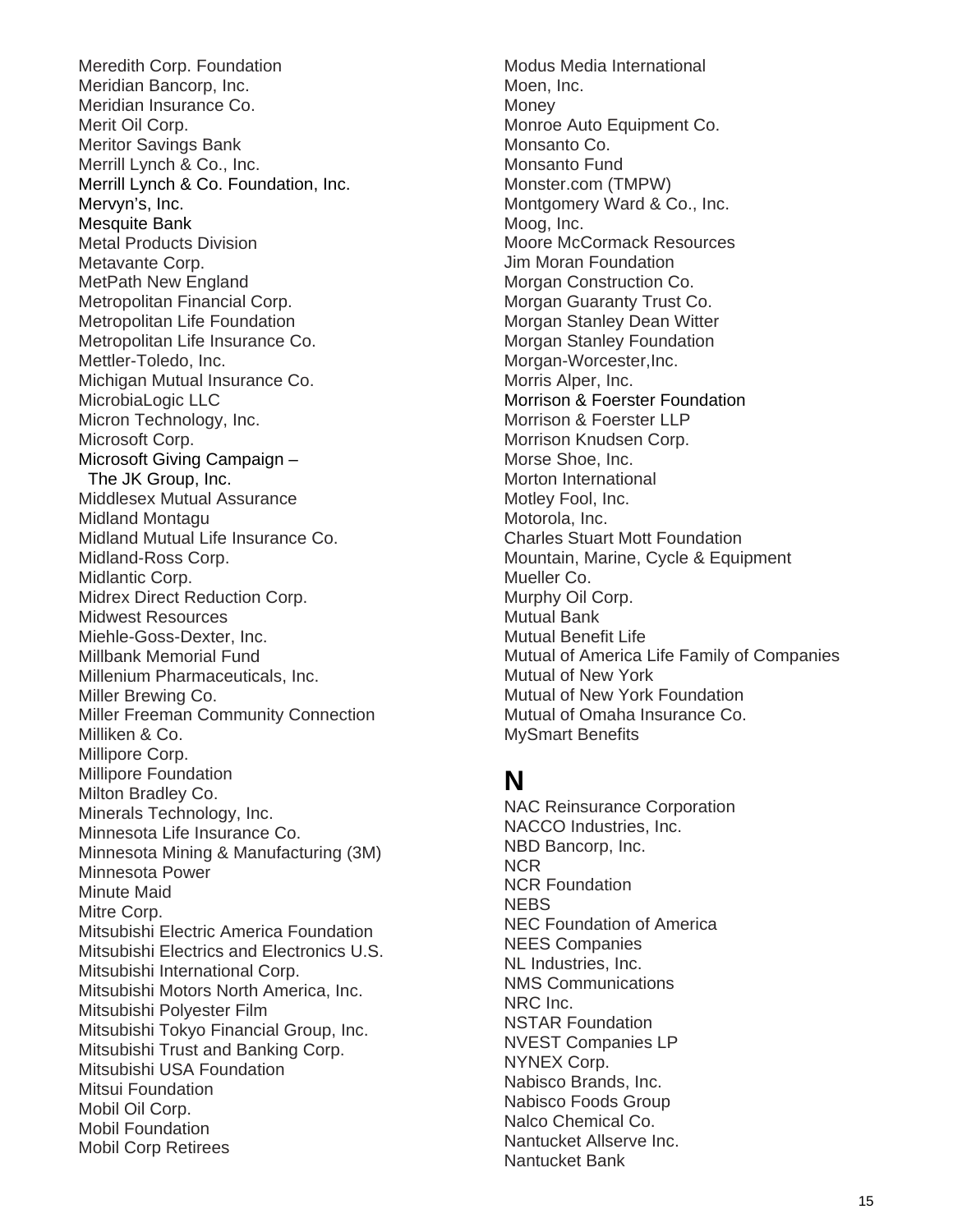Meredith Corp. Foundation Meridian Bancorp, Inc. Meridian Insurance Co. Merit Oil Corp. Meritor Savings Bank Merrill Lynch & Co., Inc. Merrill Lynch & Co. Foundation, Inc. Mervyn's, Inc. Mesquite Bank Metal Products Division Metavante Corp. MetPath New England Metropolitan Financial Corp. Metropolitan Life Foundation Metropolitan Life Insurance Co. Mettler-Toledo, Inc. Michigan Mutual Insurance Co. MicrobiaLogic LLC Micron Technology, Inc. Microsoft Corp. Microsoft Giving Campaign – The JK Group, Inc. Middlesex Mutual Assurance Midland Montagu Midland Mutual Life Insurance Co. Midland-Ross Corp. Midlantic Corp. Midrex Direct Reduction Corp. Midwest Resources Miehle-Goss-Dexter, Inc. Millbank Memorial Fund Millenium Pharmaceuticals, Inc. Miller Brewing Co. Miller Freeman Community Connection Milliken & Co. Millipore Corp. Millipore Foundation Milton Bradley Co. Minerals Technology, Inc. Minnesota Life Insurance Co. Minnesota Mining & Manufacturing (3M) Minnesota Power Minute Maid Mitre Corp. Mitsubishi Electric America Foundation Mitsubishi Electrics and Electronics U.S. Mitsubishi International Corp. Mitsubishi Motors North America, Inc. Mitsubishi Polyester Film Mitsubishi Tokyo Financial Group, Inc. Mitsubishi Trust and Banking Corp. Mitsubishi USA Foundation Mitsui Foundation Mobil Oil Corp. Mobil Foundation Mobil Corp Retirees

Modus Media International Moen, Inc. **Money** Monroe Auto Equipment Co. Monsanto Co. Monsanto Fund Monster.com (TMPW) Montgomery Ward & Co., Inc. Moog, Inc. Moore McCormack Resources Jim Moran Foundation Morgan Construction Co. Morgan Guaranty Trust Co. Morgan Stanley Dean Witter Morgan Stanley Foundation Morgan-Worcester,Inc. Morris Alper, Inc. Morrison & Foerster Foundation Morrison & Foerster LLP Morrison Knudsen Corp. Morse Shoe, Inc. Morton International Motley Fool, Inc. Motorola, Inc. Charles Stuart Mott Foundation Mountain, Marine, Cycle & Equipment Mueller Co. Murphy Oil Corp. Mutual Bank Mutual Benefit Life Mutual of America Life Family of Companies Mutual of New York Mutual of New York Foundation Mutual of Omaha Insurance Co. MySmart Benefits

### **N**

NAC Reinsurance Corporation NACCO Industries, Inc. NBD Bancorp, Inc. NCR NCR Foundation NEBS NEC Foundation of America NEES Companies NL Industries, Inc. NMS Communications NRC Inc. NSTAR Foundation NVEST Companies LP NYNEX Corp. Nabisco Brands, Inc. Nabisco Foods Group Nalco Chemical Co. Nantucket Allserve Inc. Nantucket Bank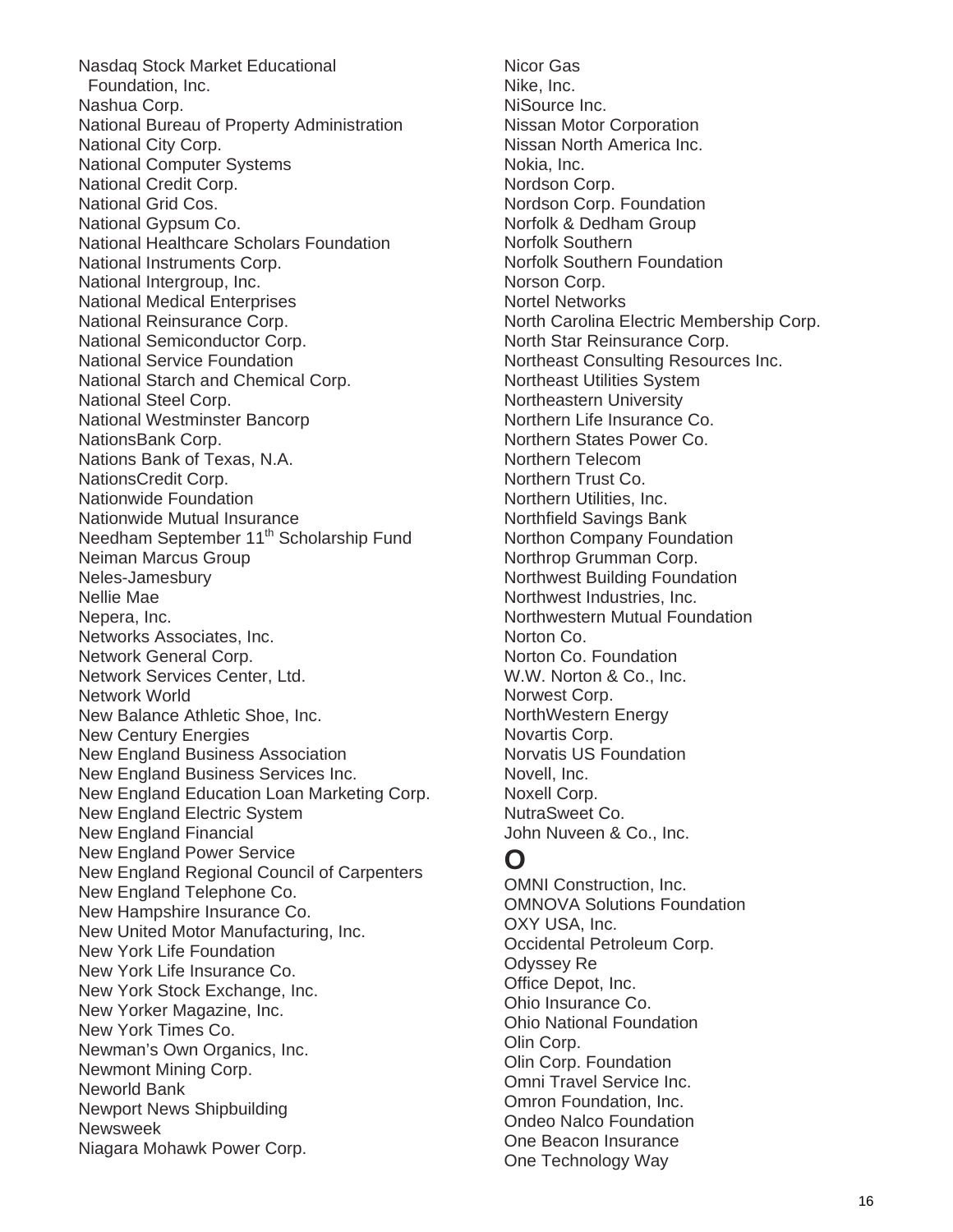Nasdaq Stock Market Educational Foundation, Inc. Nashua Corp. National Bureau of Property Administration National City Corp. National Computer Systems National Credit Corp. National Grid Cos. National Gypsum Co. National Healthcare Scholars Foundation National Instruments Corp. National Intergroup, Inc. National Medical Enterprises National Reinsurance Corp. National Semiconductor Corp. National Service Foundation National Starch and Chemical Corp. National Steel Corp. National Westminster Bancorp NationsBank Corp. Nations Bank of Texas, N.A. NationsCredit Corp. Nationwide Foundation Nationwide Mutual Insurance Needham September 11<sup>th</sup> Scholarship Fund Neiman Marcus Group Neles-Jamesbury Nellie Mae Nepera, Inc. Networks Associates, Inc. Network General Corp. Network Services Center, Ltd. Network World New Balance Athletic Shoe, Inc. New Century Energies New England Business Association New England Business Services Inc. New England Education Loan Marketing Corp. New England Electric System New England Financial New England Power Service New England Regional Council of Carpenters New England Telephone Co. New Hampshire Insurance Co. New United Motor Manufacturing, Inc. New York Life Foundation New York Life Insurance Co. New York Stock Exchange, Inc. New Yorker Magazine, Inc. New York Times Co. Newman's Own Organics, Inc. Newmont Mining Corp. Neworld Bank Newport News Shipbuilding Newsweek Niagara Mohawk Power Corp.

Nicor Gas Nike, Inc. NiSource Inc. Nissan Motor Corporation Nissan North America Inc. Nokia, Inc. Nordson Corp. Nordson Corp. Foundation Norfolk & Dedham Group Norfolk Southern Norfolk Southern Foundation Norson Corp. Nortel Networks North Carolina Electric Membership Corp. North Star Reinsurance Corp. Northeast Consulting Resources Inc. Northeast Utilities System Northeastern University Northern Life Insurance Co. Northern States Power Co. Northern Telecom Northern Trust Co. Northern Utilities, Inc. Northfield Savings Bank Northon Company Foundation Northrop Grumman Corp. Northwest Building Foundation Northwest Industries, Inc. Northwestern Mutual Foundation Norton Co. Norton Co. Foundation W.W. Norton & Co., Inc. Norwest Corp. NorthWestern Energy Novartis Corp. Norvatis US Foundation Novell, Inc. Noxell Corp. NutraSweet Co. John Nuveen & Co., Inc.

### **O**

OMNI Construction, Inc. OMNOVA Solutions Foundation OXY USA, Inc. Occidental Petroleum Corp. Odyssey Re Office Depot, Inc. Ohio Insurance Co. Ohio National Foundation Olin Corp. Olin Corp. Foundation Omni Travel Service Inc. Omron Foundation, Inc. Ondeo Nalco Foundation One Beacon Insurance One Technology Way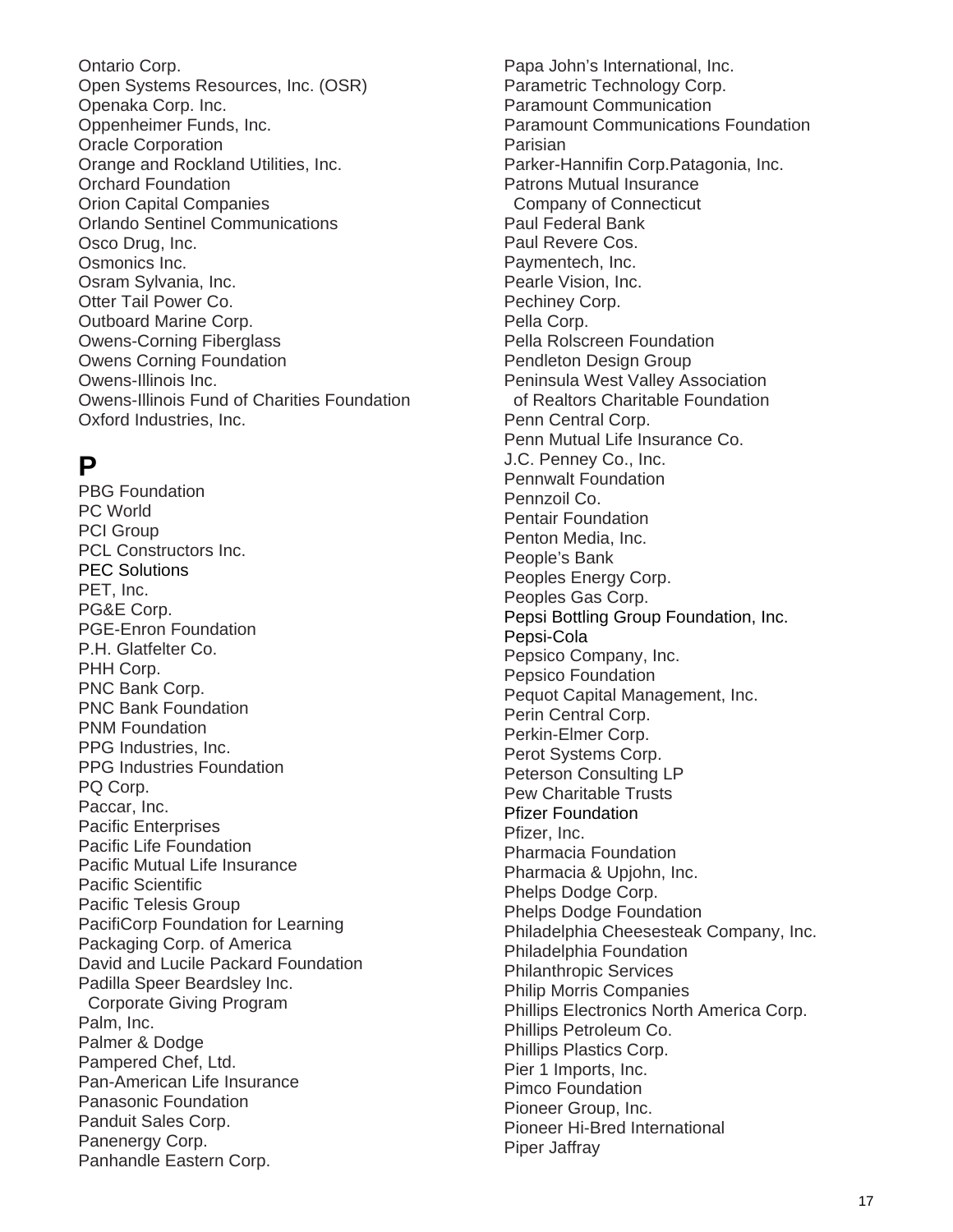Ontario Corp. Open Systems Resources, Inc. (OSR) Openaka Corp. Inc. Oppenheimer Funds, Inc. Oracle Corporation Orange and Rockland Utilities, Inc. Orchard Foundation Orion Capital Companies Orlando Sentinel Communications Osco Drug, Inc. Osmonics Inc. Osram Sylvania, Inc. Otter Tail Power Co. Outboard Marine Corp. Owens-Corning Fiberglass Owens Corning Foundation Owens-Illinois Inc. Owens-Illinois Fund of Charities Foundation Oxford Industries, Inc.

# **P**

PBG Foundation PC World PCI Group PCL Constructors Inc. PEC Solutions PET, Inc. PG&E Corp. PGE-Enron Foundation P.H. Glatfelter Co. PHH Corp. PNC Bank Corp. PNC Bank Foundation PNM Foundation PPG Industries, Inc. PPG Industries Foundation PQ Corp. Paccar, Inc. Pacific Enterprises Pacific Life Foundation Pacific Mutual Life Insurance Pacific Scientific Pacific Telesis Group PacifiCorp Foundation for Learning Packaging Corp. of America David and Lucile Packard Foundation Padilla Speer Beardsley Inc. Corporate Giving Program Palm, Inc. Palmer & Dodge Pampered Chef, Ltd. Pan-American Life Insurance Panasonic Foundation Panduit Sales Corp. Panenergy Corp. Panhandle Eastern Corp.

Papa John's International, Inc. Parametric Technology Corp. Paramount Communication Paramount Communications Foundation Parisian Parker-Hannifin Corp.Patagonia, Inc. Patrons Mutual Insurance Company of Connecticut Paul Federal Bank Paul Revere Cos. Paymentech, Inc. Pearle Vision, Inc. Pechiney Corp. Pella Corp. Pella Rolscreen Foundation Pendleton Design Group Peninsula West Valley Association of Realtors Charitable Foundation Penn Central Corp. Penn Mutual Life Insurance Co. J.C. Penney Co., Inc. Pennwalt Foundation Pennzoil Co. Pentair Foundation Penton Media, Inc. People's Bank Peoples Energy Corp. Peoples Gas Corp. Pepsi Bottling Group Foundation, Inc. Pepsi-Cola Pepsico Company, Inc. Pepsico Foundation Pequot Capital Management, Inc. Perin Central Corp. Perkin-Elmer Corp. Perot Systems Corp. Peterson Consulting LP Pew Charitable Trusts Pfizer Foundation Pfizer, Inc. Pharmacia Foundation Pharmacia & Upjohn, Inc. Phelps Dodge Corp. Phelps Dodge Foundation Philadelphia Cheesesteak Company, Inc. Philadelphia Foundation Philanthropic Services Philip Morris Companies Phillips Electronics North America Corp. Phillips Petroleum Co. Phillips Plastics Corp. Pier 1 Imports, Inc. Pimco Foundation Pioneer Group, Inc. Pioneer Hi-Bred International Piper Jaffray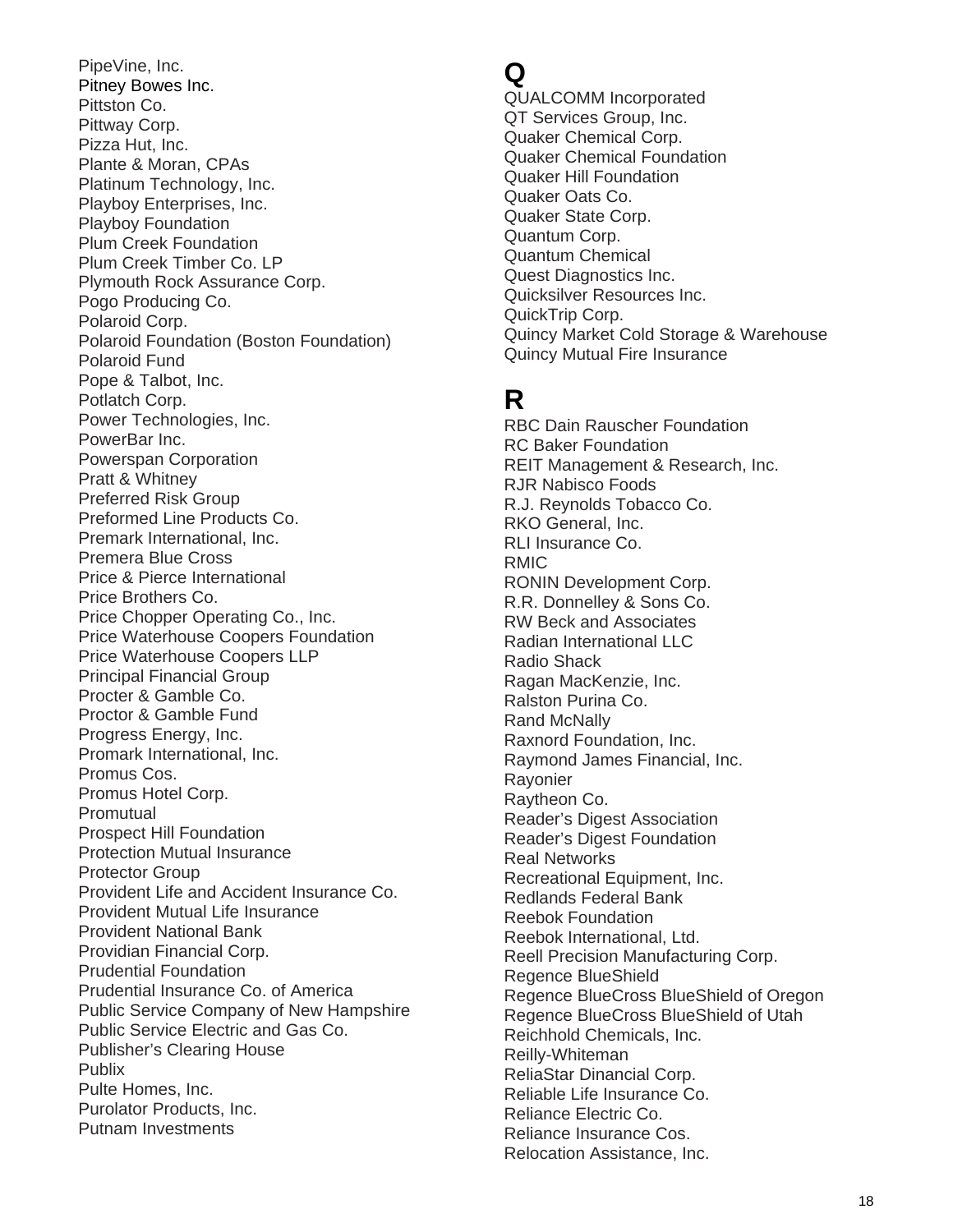PipeVine, Inc. Pitney Bowes Inc. Pittston Co. Pittway Corp. Pizza Hut, Inc. Plante & Moran, CPAs Platinum Technology, Inc. Playboy Enterprises, Inc. Playboy Foundation Plum Creek Foundation Plum Creek Timber Co. LP Plymouth Rock Assurance Corp. Pogo Producing Co. Polaroid Corp. Polaroid Foundation (Boston Foundation) Polaroid Fund Pope & Talbot, Inc. Potlatch Corp. Power Technologies, Inc. PowerBar Inc. Powerspan Corporation Pratt & Whitney Preferred Risk Group Preformed Line Products Co. Premark International, Inc. Premera Blue Cross Price & Pierce International Price Brothers Co. Price Chopper Operating Co., Inc. Price Waterhouse Coopers Foundation Price Waterhouse Coopers LLP Principal Financial Group Procter & Gamble Co. Proctor & Gamble Fund Progress Energy, Inc. Promark International, Inc. Promus Cos. Promus Hotel Corp. Promutual Prospect Hill Foundation Protection Mutual Insurance Protector Group Provident Life and Accident Insurance Co. Provident Mutual Life Insurance Provident National Bank Providian Financial Corp. Prudential Foundation Prudential Insurance Co. of America Public Service Company of New Hampshire Public Service Electric and Gas Co. Publisher's Clearing House **Publix** Pulte Homes, Inc. Purolator Products, Inc. Putnam Investments

### **Q**

QUALCOMM Incorporated QT Services Group, Inc. Quaker Chemical Corp. Quaker Chemical Foundation Quaker Hill Foundation Quaker Oats Co. Quaker State Corp. Quantum Corp. Quantum Chemical Quest Diagnostics Inc. Quicksilver Resources Inc. QuickTrip Corp. Quincy Market Cold Storage & Warehouse Quincy Mutual Fire Insurance

# **R**

RBC Dain Rauscher Foundation RC Baker Foundation REIT Management & Research, Inc. RJR Nabisco Foods R.J. Reynolds Tobacco Co. RKO General, Inc. RLI Insurance Co. RMIC RONIN Development Corp. R.R. Donnelley & Sons Co. RW Beck and Associates Radian International LLC Radio Shack Ragan MacKenzie, Inc. Ralston Purina Co. Rand McNally Raxnord Foundation, Inc. Raymond James Financial, Inc. Rayonier Raytheon Co. Reader's Digest Association Reader's Digest Foundation Real Networks Recreational Equipment, Inc. Redlands Federal Bank Reebok Foundation Reebok International, Ltd. Reell Precision Manufacturing Corp. Regence BlueShield Regence BlueCross BlueShield of Oregon Regence BlueCross BlueShield of Utah Reichhold Chemicals, Inc. Reilly-Whiteman ReliaStar Dinancial Corp. Reliable Life Insurance Co. Reliance Electric Co. Reliance Insurance Cos. Relocation Assistance, Inc.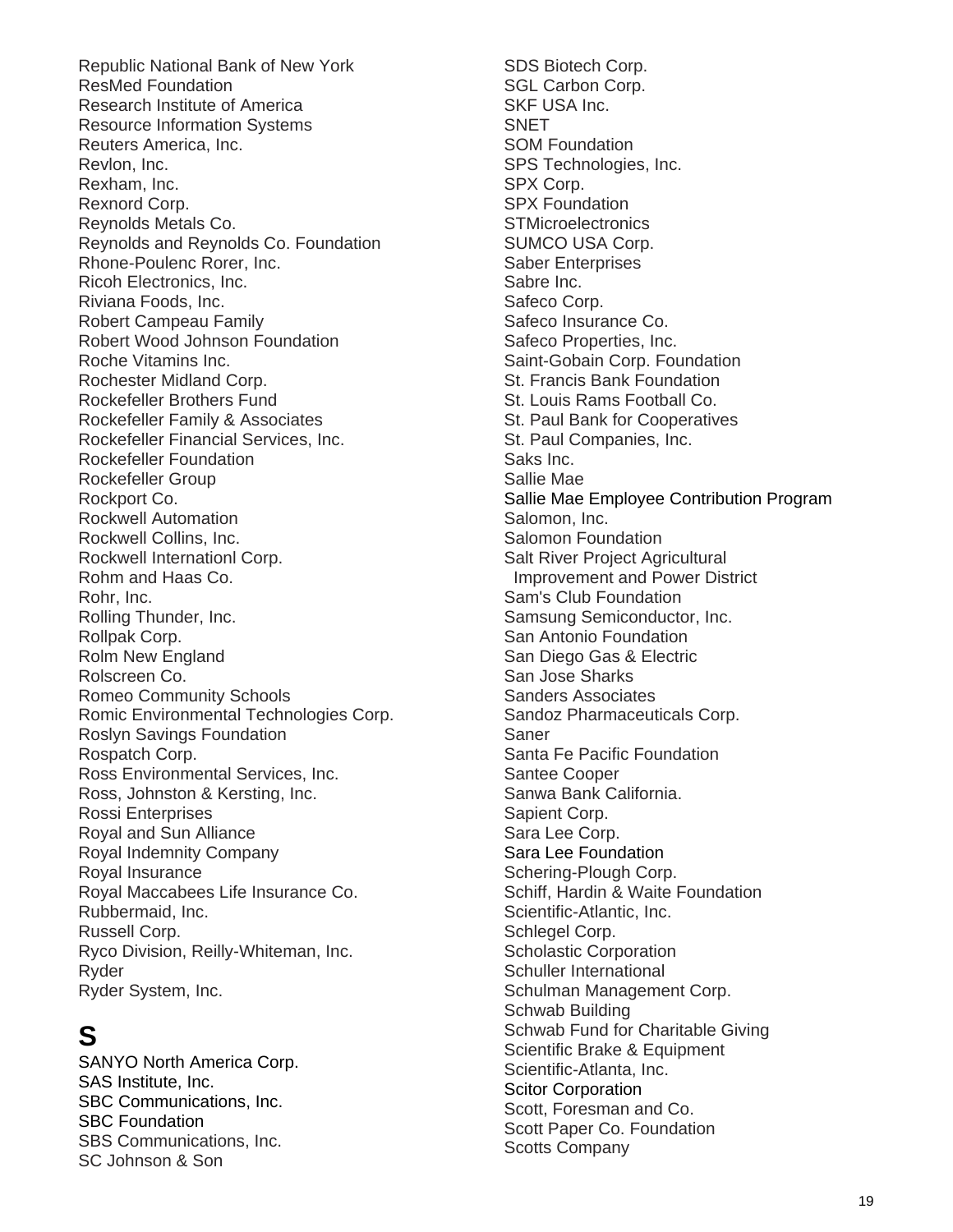Republic National Bank of New York ResMed Foundation Research Institute of America Resource Information Systems Reuters America, Inc. Revlon, Inc. Rexham, Inc. Rexnord Corp. Reynolds Metals Co. Reynolds and Reynolds Co. Foundation Rhone-Poulenc Rorer, Inc. Ricoh Electronics, Inc. Riviana Foods, Inc. Robert Campeau Family Robert Wood Johnson Foundation Roche Vitamins Inc. Rochester Midland Corp. Rockefeller Brothers Fund Rockefeller Family & Associates Rockefeller Financial Services, Inc. Rockefeller Foundation Rockefeller Group Rockport Co. Rockwell Automation Rockwell Collins, Inc. Rockwell Internationl Corp. Rohm and Haas Co. Rohr, Inc. Rolling Thunder, Inc. Rollpak Corp. Rolm New England Rolscreen Co. Romeo Community Schools Romic Environmental Technologies Corp. Roslyn Savings Foundation Rospatch Corp. Ross Environmental Services, Inc. Ross, Johnston & Kersting, Inc. Rossi Enterprises Royal and Sun Alliance Royal Indemnity Company Royal Insurance Royal Maccabees Life Insurance Co. Rubbermaid, Inc. Russell Corp. Ryco Division, Reilly-Whiteman, Inc. Ryder Ryder System, Inc.

# **S**

SANYO North America Corp. SAS Institute, Inc. SBC Communications, Inc. SBC Foundation SBS Communications, Inc. SC Johnson & Son

SDS Biotech Corp. SGL Carbon Corp. SKF USA Inc. SNET SOM Foundation SPS Technologies, Inc. SPX Corp. SPX Foundation **STMicroelectronics** SUMCO USA Corp. Saber Enterprises Sabre Inc. Safeco Corp. Safeco Insurance Co. Safeco Properties, Inc. Saint-Gobain Corp. Foundation St. Francis Bank Foundation St. Louis Rams Football Co. St. Paul Bank for Cooperatives St. Paul Companies, Inc. Saks Inc. Sallie Mae Sallie Mae Employee Contribution Program Salomon, Inc. Salomon Foundation Salt River Project Agricultural Improvement and Power District Sam's Club Foundation Samsung Semiconductor, Inc. San Antonio Foundation San Diego Gas & Electric San Jose Sharks Sanders Associates Sandoz Pharmaceuticals Corp. Saner Santa Fe Pacific Foundation Santee Cooper Sanwa Bank California. Sapient Corp. Sara Lee Corp. Sara Lee Foundation Schering-Plough Corp. Schiff, Hardin & Waite Foundation Scientific-Atlantic, Inc. Schlegel Corp. Scholastic Corporation Schuller International Schulman Management Corp. Schwab Building Schwab Fund for Charitable Giving Scientific Brake & Equipment Scientific-Atlanta, Inc. Scitor Corporation Scott, Foresman and Co. Scott Paper Co. Foundation Scotts Company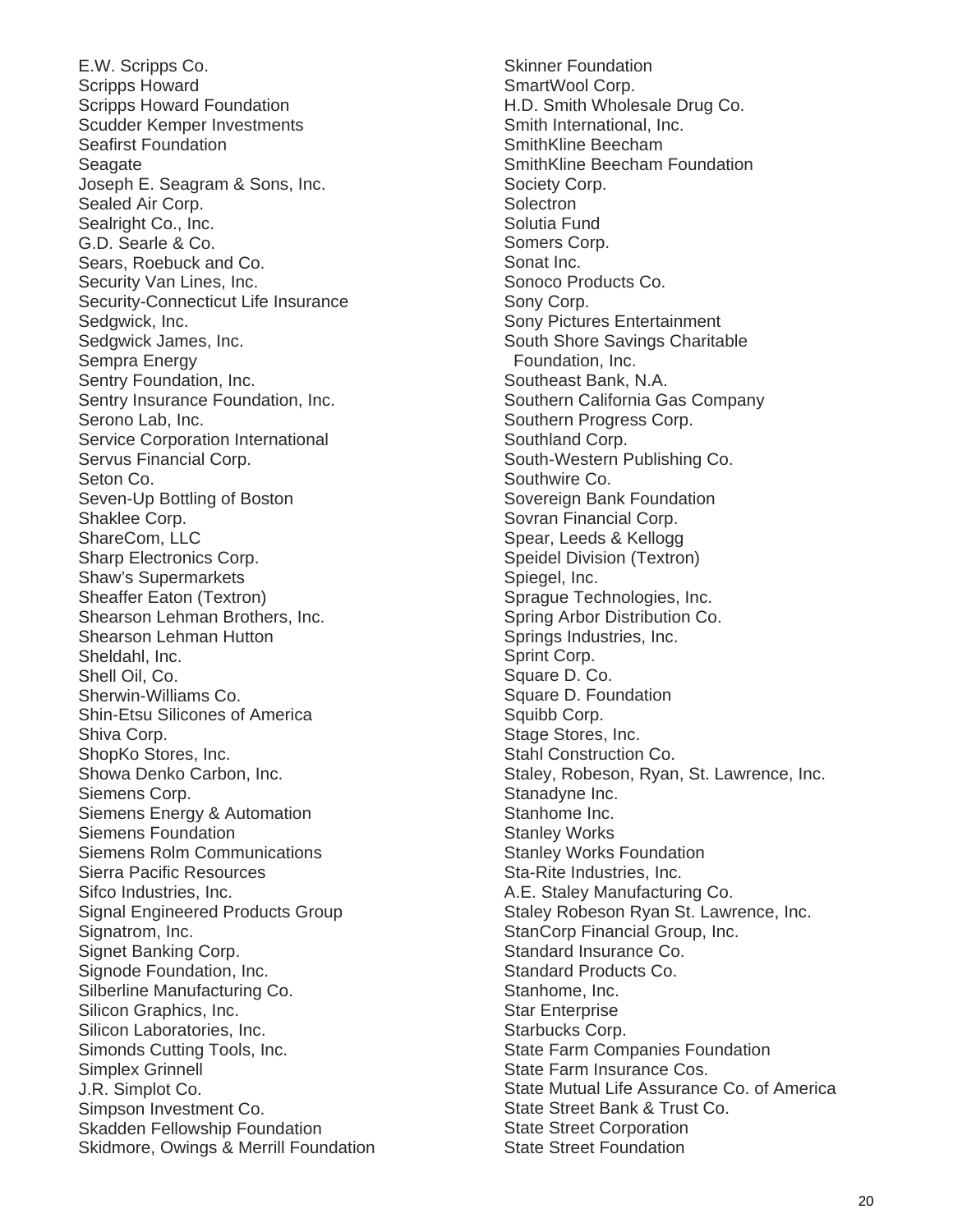E.W. Scripps Co. Scripps Howard Scripps Howard Foundation Scudder Kemper Investments Seafirst Foundation **Seagate** Joseph E. Seagram & Sons, Inc. Sealed Air Corp. Sealright Co., Inc. G.D. Searle & Co. Sears, Roebuck and Co. Security Van Lines, Inc. Security-Connecticut Life Insurance Sedgwick, Inc. Sedgwick James, Inc. Sempra Energy Sentry Foundation, Inc. Sentry Insurance Foundation, Inc. Serono Lab, Inc. Service Corporation International Servus Financial Corp. Seton Co. Seven-Up Bottling of Boston Shaklee Corp. ShareCom, LLC Sharp Electronics Corp. Shaw's Supermarkets Sheaffer Eaton (Textron) Shearson Lehman Brothers, Inc. Shearson Lehman Hutton Sheldahl, Inc. Shell Oil, Co. Sherwin-Williams Co. Shin-Etsu Silicones of America Shiva Corp. ShopKo Stores, Inc. Showa Denko Carbon, Inc. Siemens Corp. Siemens Energy & Automation Siemens Foundation Siemens Rolm Communications Sierra Pacific Resources Sifco Industries, Inc. Signal Engineered Products Group Signatrom, Inc. Signet Banking Corp. Signode Foundation, Inc. Silberline Manufacturing Co. Silicon Graphics, Inc. Silicon Laboratories, Inc. Simonds Cutting Tools, Inc. Simplex Grinnell J.R. Simplot Co. Simpson Investment Co. Skadden Fellowship Foundation Skidmore, Owings & Merrill Foundation

Skinner Foundation SmartWool Corp. H.D. Smith Wholesale Drug Co. Smith International, Inc. SmithKline Beecham SmithKline Beecham Foundation Society Corp. **Solectron** Solutia Fund Somers Corp. Sonat Inc. Sonoco Products Co. Sony Corp. Sony Pictures Entertainment South Shore Savings Charitable Foundation, Inc. Southeast Bank, N.A. Southern California Gas Company Southern Progress Corp. Southland Corp. South-Western Publishing Co. Southwire Co. Sovereign Bank Foundation Sovran Financial Corp. Spear, Leeds & Kellogg Speidel Division (Textron) Spiegel, Inc. Sprague Technologies, Inc. Spring Arbor Distribution Co. Springs Industries, Inc. Sprint Corp. Square D. Co. Square D. Foundation Squibb Corp. Stage Stores, Inc. Stahl Construction Co. Staley, Robeson, Ryan, St. Lawrence, Inc. Stanadyne Inc. Stanhome Inc. Stanley Works Stanley Works Foundation Sta-Rite Industries, Inc. A.E. Staley Manufacturing Co. Staley Robeson Ryan St. Lawrence, Inc. StanCorp Financial Group, Inc. Standard Insurance Co. Standard Products Co. Stanhome, Inc. Star Enterprise Starbucks Corp. State Farm Companies Foundation State Farm Insurance Cos. State Mutual Life Assurance Co. of America State Street Bank & Trust Co. State Street Corporation State Street Foundation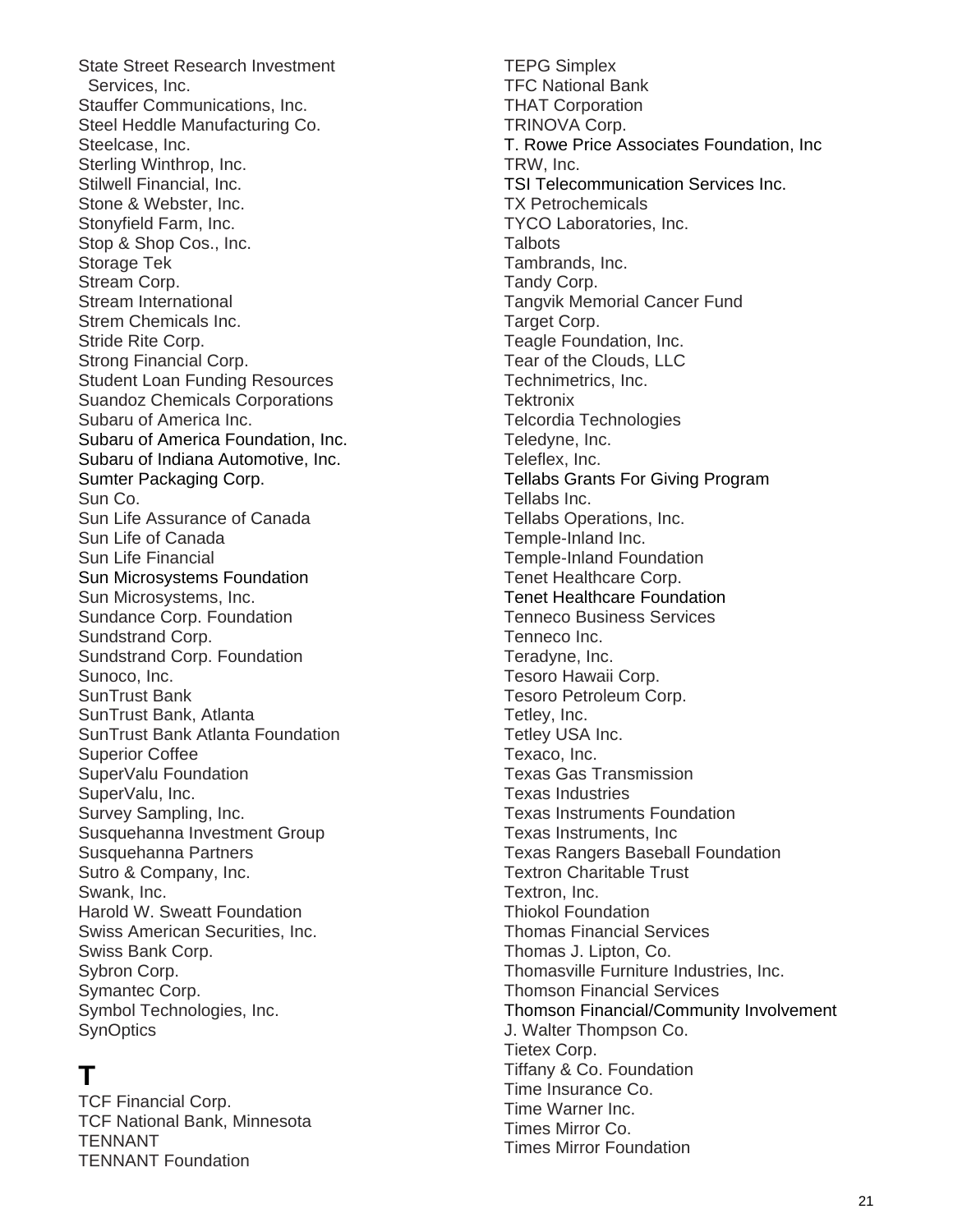State Street Research Investment Services, Inc. Stauffer Communications, Inc. Steel Heddle Manufacturing Co. Steelcase, Inc. Sterling Winthrop, Inc. Stilwell Financial, Inc. Stone & Webster, Inc. Stonyfield Farm, Inc. Stop & Shop Cos., Inc. Storage Tek Stream Corp. Stream International Strem Chemicals Inc. Stride Rite Corp. Strong Financial Corp. Student Loan Funding Resources Suandoz Chemicals Corporations Subaru of America Inc. Subaru of America Foundation, Inc. Subaru of Indiana Automotive, Inc. Sumter Packaging Corp. Sun Co. Sun Life Assurance of Canada Sun Life of Canada Sun Life Financial Sun Microsystems Foundation Sun Microsystems, Inc. Sundance Corp. Foundation Sundstrand Corp. Sundstrand Corp. Foundation Sunoco, Inc. SunTrust Bank SunTrust Bank, Atlanta SunTrust Bank Atlanta Foundation Superior Coffee SuperValu Foundation SuperValu, Inc. Survey Sampling, Inc. Susquehanna Investment Group Susquehanna Partners Sutro & Company, Inc. Swank, Inc. Harold W. Sweatt Foundation Swiss American Securities, Inc. Swiss Bank Corp. Sybron Corp. Symantec Corp. Symbol Technologies, Inc. **SynOptics** 

### **T**

TCF Financial Corp. TCF National Bank, Minnesota TENNANT TENNANT Foundation

TEPG Simplex TFC National Bank THAT Corporation TRINOVA Corp. T. Rowe Price Associates Foundation, Inc TRW, Inc. TSI Telecommunication Services Inc. TX Petrochemicals TYCO Laboratories, Inc. **Talbots** Tambrands, Inc. Tandy Corp. Tangvik Memorial Cancer Fund Target Corp. Teagle Foundation, Inc. Tear of the Clouds, LLC Technimetrics, Inc. **Tektronix** Telcordia Technologies Teledyne, Inc. Teleflex, Inc. Tellabs Grants For Giving Program Tellabs Inc. Tellabs Operations, Inc. Temple-Inland Inc. Temple-Inland Foundation Tenet Healthcare Corp. Tenet Healthcare Foundation Tenneco Business Services Tenneco Inc. Teradyne, Inc. Tesoro Hawaii Corp. Tesoro Petroleum Corp. Tetley, Inc. Tetley USA Inc. Texaco, Inc. Texas Gas Transmission Texas Industries Texas Instruments Foundation Texas Instruments, Inc Texas Rangers Baseball Foundation Textron Charitable Trust Textron, Inc. Thiokol Foundation Thomas Financial Services Thomas J. Lipton, Co. Thomasville Furniture Industries, Inc. Thomson Financial Services Thomson Financial/Community Involvement J. Walter Thompson Co. Tietex Corp. Tiffany & Co. Foundation Time Insurance Co. Time Warner Inc. Times Mirror Co. Times Mirror Foundation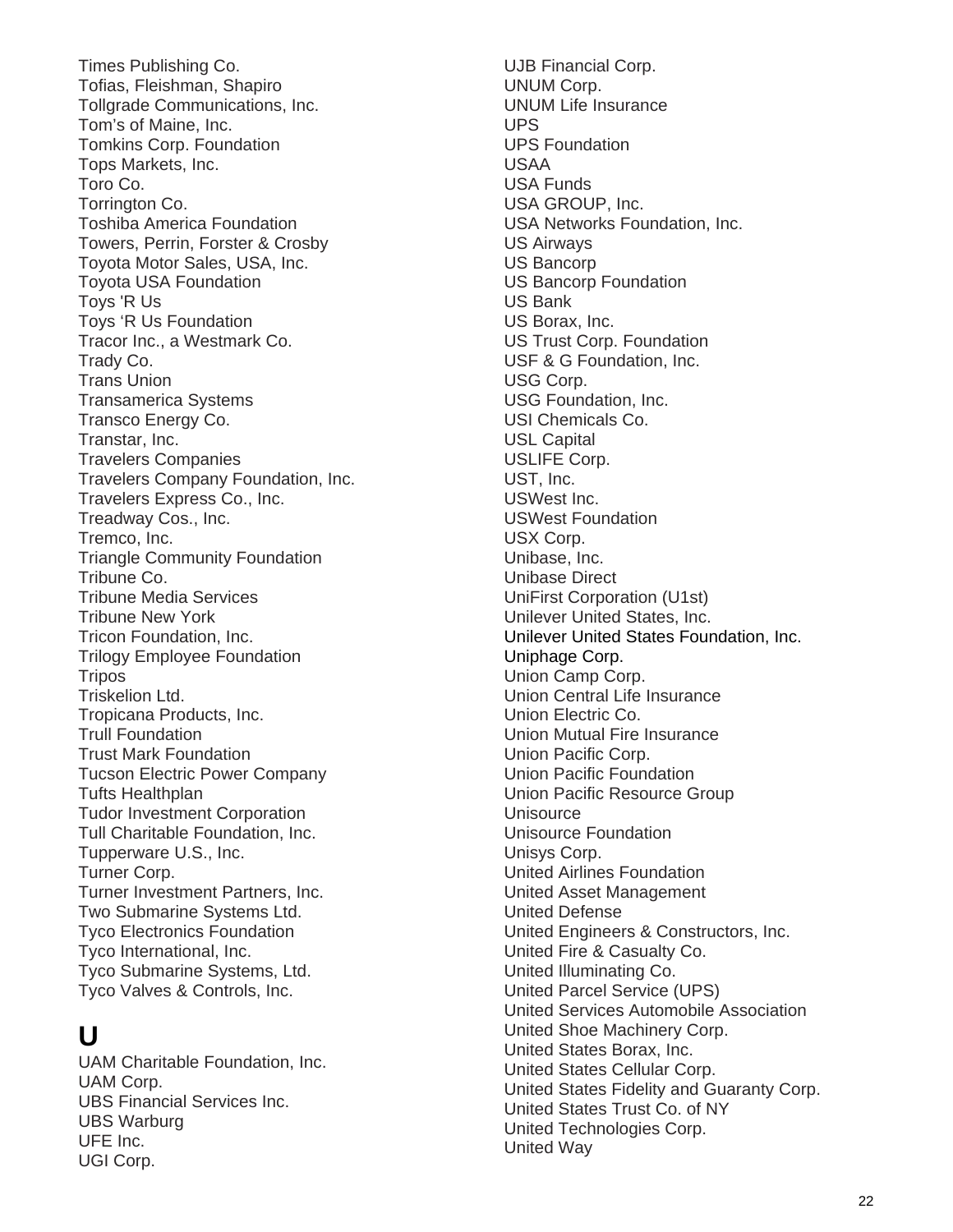Times Publishing Co. Tofias, Fleishman, Shapiro Tollgrade Communications, Inc. Tom's of Maine, Inc. Tomkins Corp. Foundation Tops Markets, Inc. Toro Co. Torrington Co. Toshiba America Foundation Towers, Perrin, Forster & Crosby Toyota Motor Sales, USA, Inc. Toyota USA Foundation Toys 'R Us Toys 'R Us Foundation Tracor Inc., a Westmark Co. Trady Co. Trans Union Transamerica Systems Transco Energy Co. Transtar, Inc. Travelers Companies Travelers Company Foundation, Inc. Travelers Express Co., Inc. Treadway Cos., Inc. Tremco, Inc. Triangle Community Foundation Tribune Co. Tribune Media Services Tribune New York Tricon Foundation, Inc. Trilogy Employee Foundation **Tripos** Triskelion Ltd. Tropicana Products, Inc. Trull Foundation Trust Mark Foundation Tucson Electric Power Company Tufts Healthplan Tudor Investment Corporation Tull Charitable Foundation, Inc. Tupperware U.S., Inc. Turner Corp. Turner Investment Partners, Inc. Two Submarine Systems Ltd. Tyco Electronics Foundation Tyco International, Inc. Tyco Submarine Systems, Ltd. Tyco Valves & Controls, Inc.

# **U**

UAM Charitable Foundation, Inc. UAM Corp. UBS Financial Services Inc. UBS Warburg UFE Inc. UGI Corp.

UJB Financial Corp. UNUM Corp. UNUM Life Insurance UPS UPS Foundation USAA USA Funds USA GROUP, Inc. USA Networks Foundation, Inc. US Airways US Bancorp US Bancorp Foundation US Bank US Borax, Inc. US Trust Corp. Foundation USF & G Foundation, Inc. USG Corp. USG Foundation, Inc. USI Chemicals Co. USL Capital USLIFE Corp. UST, Inc. USWest Inc. USWest Foundation USX Corp. Unibase, Inc. Unibase Direct UniFirst Corporation (U1st) Unilever United States, Inc. Unilever United States Foundation, Inc. Uniphage Corp. Union Camp Corp. Union Central Life Insurance Union Electric Co. Union Mutual Fire Insurance Union Pacific Corp. Union Pacific Foundation Union Pacific Resource Group **Unisource** Unisource Foundation Unisys Corp. United Airlines Foundation United Asset Management United Defense United Engineers & Constructors, Inc. United Fire & Casualty Co. United Illuminating Co. United Parcel Service (UPS) United Services Automobile Association United Shoe Machinery Corp. United States Borax, Inc. United States Cellular Corp. United States Fidelity and Guaranty Corp. United States Trust Co. of NY United Technologies Corp. United Way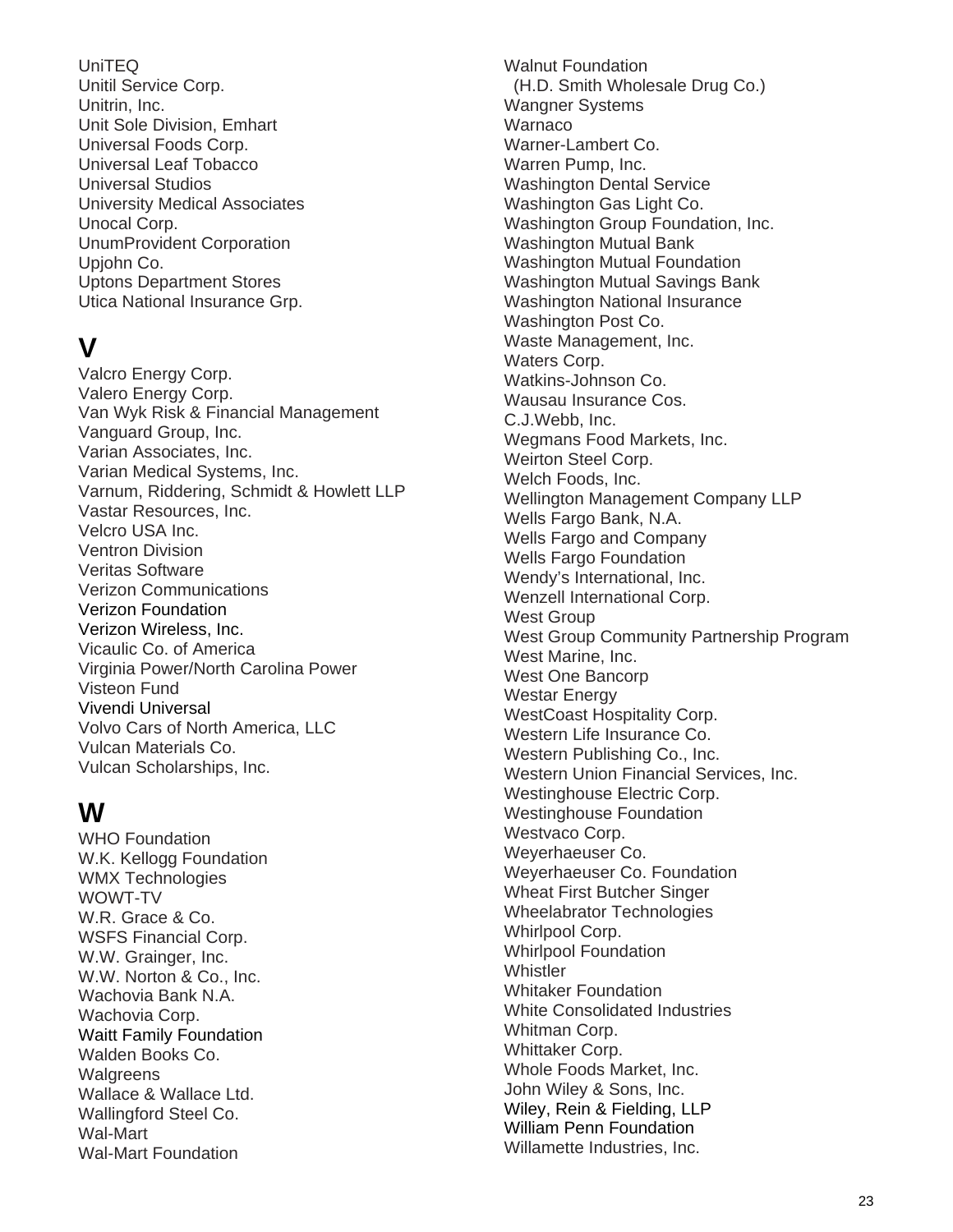UniTEQ Unitil Service Corp. Unitrin, Inc. Unit Sole Division, Emhart Universal Foods Corp. Universal Leaf Tobacco Universal Studios University Medical Associates Unocal Corp. UnumProvident Corporation Upjohn Co. Uptons Department Stores Utica National Insurance Grp.

# **V**

Valcro Energy Corp. Valero Energy Corp. Van Wyk Risk & Financial Management Vanguard Group, Inc. Varian Associates, Inc. Varian Medical Systems, Inc. Varnum, Riddering, Schmidt & Howlett LLP Vastar Resources, Inc. Velcro USA Inc. Ventron Division Veritas Software Verizon Communications Verizon Foundation Verizon Wireless, Inc. Vicaulic Co. of America Virginia Power/North Carolina Power Visteon Fund Vivendi Universal Volvo Cars of North America, LLC Vulcan Materials Co. Vulcan Scholarships, Inc.

# **W**

WHO Foundation W.K. Kellogg Foundation WMX Technologies WOWT-TV W.R. Grace & Co. WSFS Financial Corp. W.W. Grainger, Inc. W.W. Norton & Co., Inc. Wachovia Bank N.A. Wachovia Corp. Waitt Family Foundation Walden Books Co. Walgreens Wallace & Wallace Ltd. Wallingford Steel Co. Wal-Mart Wal-Mart Foundation

Walnut Foundation (H.D. Smith Wholesale Drug Co.) Wangner Systems **Warnaco** Warner-Lambert Co. Warren Pump, Inc. Washington Dental Service Washington Gas Light Co. Washington Group Foundation, Inc. Washington Mutual Bank Washington Mutual Foundation Washington Mutual Savings Bank Washington National Insurance Washington Post Co. Waste Management, Inc. Waters Corp. Watkins-Johnson Co. Wausau Insurance Cos. C.J.Webb, Inc. Wegmans Food Markets, Inc. Weirton Steel Corp. Welch Foods, Inc. Wellington Management Company LLP Wells Fargo Bank, N.A. Wells Fargo and Company Wells Fargo Foundation Wendy's International, Inc. Wenzell International Corp. West Group West Group Community Partnership Program West Marine, Inc. West One Bancorp Westar Energy WestCoast Hospitality Corp. Western Life Insurance Co. Western Publishing Co., Inc. Western Union Financial Services, Inc. Westinghouse Electric Corp. Westinghouse Foundation Westvaco Corp. Weyerhaeuser Co. Weyerhaeuser Co. Foundation Wheat First Butcher Singer Wheelabrator Technologies Whirlpool Corp. Whirlpool Foundation **Whistler** Whitaker Foundation White Consolidated Industries Whitman Corp. Whittaker Corp. Whole Foods Market, Inc. John Wiley & Sons, Inc. Wiley, Rein & Fielding, LLP William Penn Foundation Willamette Industries, Inc.